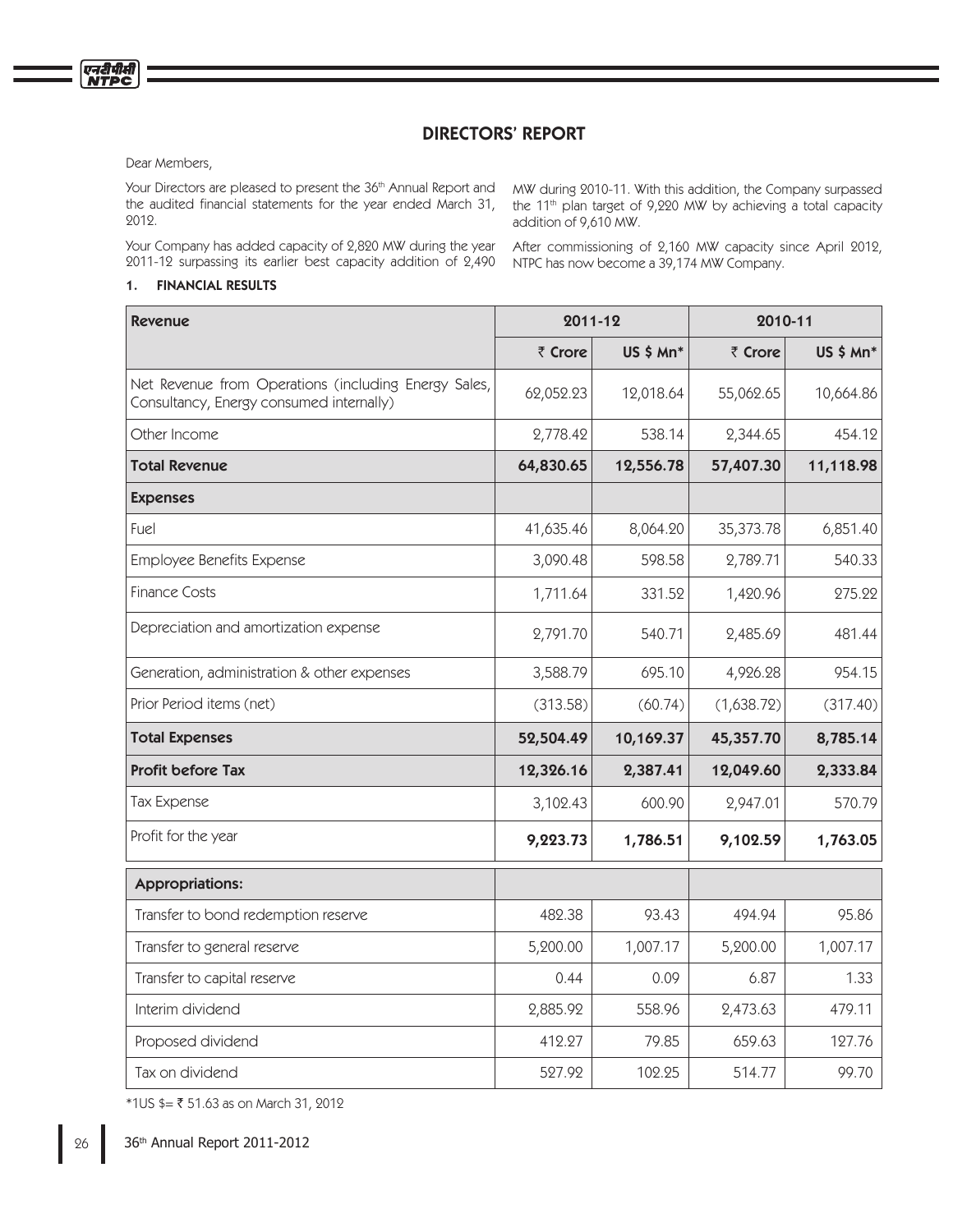# DIRECTORS' REPORT

Dear Members,

Your Directors are pleased to present the 36th Annual Report and the audited financial statements for the year ended March 31, 2012.

Your Company has added capacity of 2,820 MW during the year 2011-12 surpassing its earlier best capacity addition of 2,490

## 1. FINANCIAL RESULTS

MW during 2010-11. With this addition, the Company surpassed the 11<sup>th</sup> plan target of 9,220 MW by achieving a total capacity addition of 9,610 MW.

After commissioning of 2,160 MW capacity since April 2012, NTPC has now become a 39,174 MW Company.

| <b>Revenue</b>                                                                                   | 2011-12   |           | 2010-11    |           |
|--------------------------------------------------------------------------------------------------|-----------|-----------|------------|-----------|
|                                                                                                  | ₹ Crore   | US \$ Mn* | ₹ Crore    | US \$ Mn* |
| Net Revenue from Operations (including Energy Sales,<br>Consultancy, Energy consumed internally) | 62,052.23 | 12,018.64 | 55,062.65  | 10,664.86 |
| Other Income                                                                                     | 2,778.42  | 538.14    | 2,344.65   | 454.12    |
| <b>Total Revenue</b>                                                                             | 64,830.65 | 12,556.78 | 57,407.30  | 11,118.98 |
| <b>Expenses</b>                                                                                  |           |           |            |           |
| Fuel                                                                                             | 41,635.46 | 8,064.20  | 35,373.78  | 6,851.40  |
| Employee Benefits Expense                                                                        | 3,090.48  | 598.58    | 2,789.71   | 540.33    |
| <b>Finance Costs</b>                                                                             | 1,711.64  | 331.52    | 1,420.96   | 275.22    |
| Depreciation and amortization expense                                                            | 2,791.70  | 540.71    | 2,485.69   | 481.44    |
| Generation, administration & other expenses                                                      | 3,588.79  | 695.10    | 4,926.28   | 954.15    |
| Prior Period items (net)                                                                         | (313.58)  | (60.74)   | (1,638.72) | (317.40)  |
| <b>Total Expenses</b>                                                                            | 52,504.49 | 10,169.37 | 45,357.70  | 8,785.14  |
| <b>Profit before Tax</b>                                                                         | 12,326.16 | 2,387.41  | 12,049.60  | 2,333.84  |
| <b>Tax Expense</b>                                                                               | 3,102.43  | 600.90    | 2,947.01   | 570.79    |
| Profit for the year                                                                              | 9,223.73  | 1,786.51  | 9,102.59   | 1,763.05  |
| <b>Appropriations:</b>                                                                           |           |           |            |           |
| Transfer to bond redemption reserve                                                              | 482.38    | 93.43     | 494.94     | 95.86     |
| Transfer to general reserve                                                                      | 5,200.00  | 1,007.17  | 5,200.00   | 1,007.17  |
| Transfer to capital reserve                                                                      | 0.44      | 0.09      | 6.87       | 1.33      |
| Interim dividend                                                                                 | 2,885.92  | 558.96    | 2,473.63   | 479.11    |
| Proposed dividend                                                                                | 412.27    | 79.85     | 659.63     | 127.76    |
| Tax on dividend                                                                                  | 527.92    | 102.25    | 514.77     | 99.70     |

\*1US \$= 51.63 as on March 31, 2012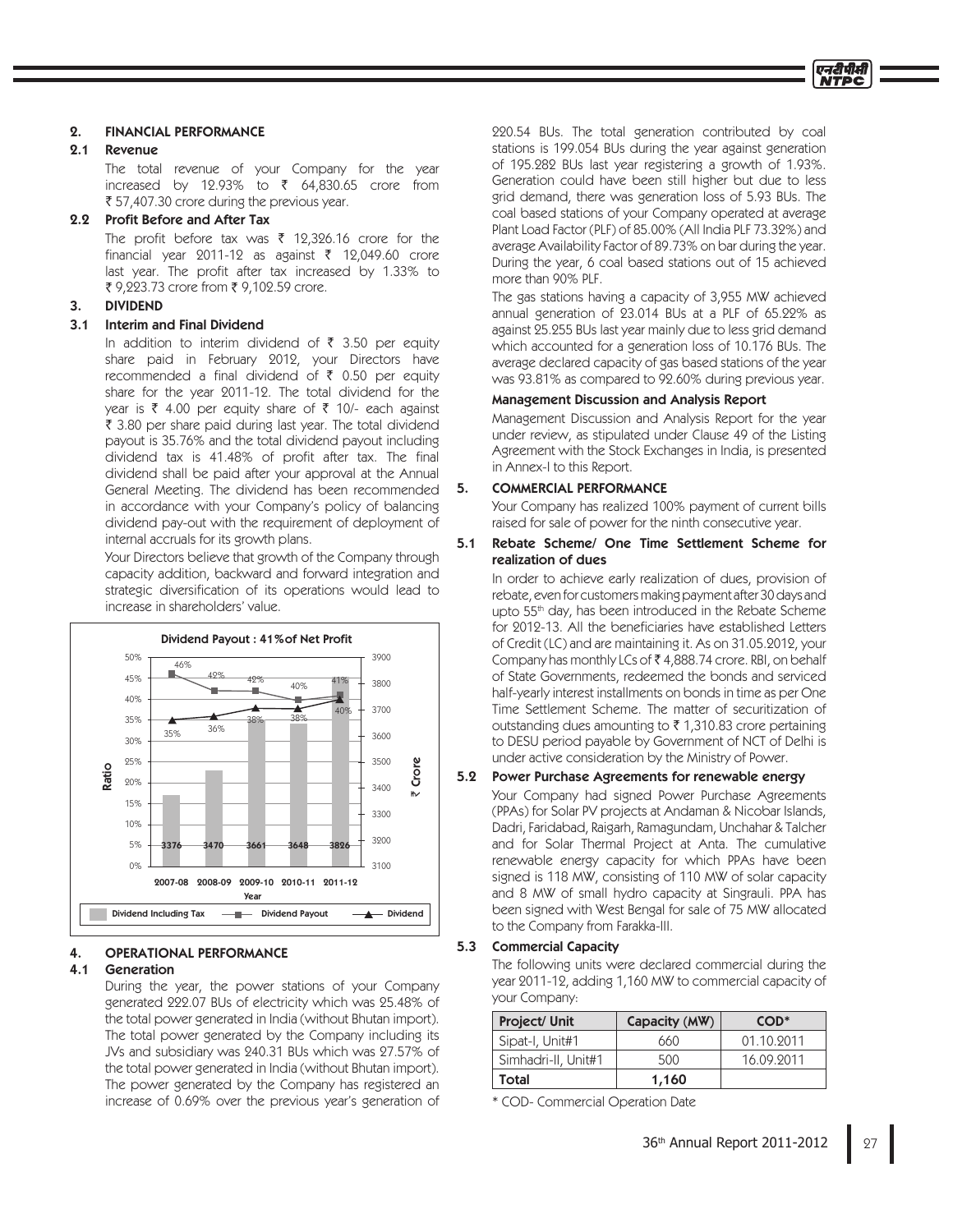

#### 2. FINANCIAL PERFORMANCE

#### 2.1 Revenue

 The total revenue of your Company for the year increased by 12.93% to  $\bar{\tau}$  64,830.65 crore from 57,407.30 crore during the previous year.

### 2.2 Profit Before and After Tax

The profit before tax was  $\bar{\tau}$  12,326.16 crore for the financial year 2011-12 as against  $\bar{\tau}$  12,049.60 crore last year. The profit after tax increased by 1.33% to 9,223.73 crore from 9,102.59 crore.

#### 3. DIVIDEND

### 3.1 Interim and Final Dividend

In addition to interim dividend of  $\bar{\tau}$  3.50 per equity share paid in February 2012, your Directors have recommended a final dividend of  $\bar{\tau}$  0.50 per equity share for the year 2011-12. The total dividend for the year is  $\bar{\tau}$  4.00 per equity share of  $\bar{\tau}$  10/- each against 3.80 per share paid during last year. The total dividend payout is 35.76% and the total dividend payout including dividend tax is 41.48% of profit after tax. The final dividend shall be paid after your approval at the Annual General Meeting. The dividend has been recommended in accordance with your Company's policy of balancing dividend pay-out with the requirement of deployment of internal accruals for its growth plans.

 Your Directors believe that growth of the Company through capacity addition, backward and forward integration and strategic diversification of its operations would lead to increase in shareholders' value.



#### 4. OPERATIONAL PERFORMANCE

#### 4.1 Generation

 During the year, the power stations of your Company generated 222.07 BUs of electricity which was 25.48% of the total power generated in India (without Bhutan import). The total power generated by the Company including its JVs and subsidiary was 240.31 BUs which was 27.57% of the total power generated in India (without Bhutan import). The power generated by the Company has registered an increase of 0.69% over the previous year's generation of 220.54 BUs. The total generation contributed by coal stations is 199.054 BUs during the year against generation of 195.282 BUs last year registering a growth of 1.93%. Generation could have been still higher but due to less grid demand, there was generation loss of 5.93 BUs. The coal based stations of your Company operated at average Plant Load Factor (PLF) of 85.00% (All India PLF 73.32%) and average Availability Factor of 89.73% on bar during the year. During the year, 6 coal based stations out of 15 achieved more than 90% PLF.

 The gas stations having a capacity of 3,955 MW achieved annual generation of 23.014 BUs at a PLF of 65.22% as against 25.255 BUs last year mainly due to less grid demand which accounted for a generation loss of 10.176 BUs. The average declared capacity of gas based stations of the year was 93.81% as compared to 92.60% during previous year.

#### Management Discussion and Analysis Report

 Management Discussion and Analysis Report for the year under review, as stipulated under Clause 49 of the Listing Agreement with the Stock Exchanges in India, is presented in Annex-I to this Report.

### 5. COMMERCIAL PERFORMANCE

 Your Company has realized 100% payment of current bills raised for sale of power for the ninth consecutive year.

5.1 Rebate Scheme/ One Time Settlement Scheme for realization of dues

 In order to achieve early realization of dues, provision of rebate, even for customers making payment after 30 days and upto 55<sup>th</sup> day, has been introduced in the Rebate Scheme for 2012-13. All the beneficiaries have established Letters of Credit (LC) and are maintaining it. As on 31.05.2012, your Company has monthly LCs of  $\bar{\bar{\tau}}$  4,888.74 crore. RBI, on behalf of State Governments, redeemed the bonds and serviced half-yearly interest installments on bonds in time as per One Time Settlement Scheme. The matter of securitization of outstanding dues amounting to  $\bar{\tau}$  1,310.83 crore pertaining to DESU period payable by Government of NCT of Delhi is under active consideration by the Ministry of Power.

## 5.2 Power Purchase Agreements for renewable energy

 Your Company had signed Power Purchase Agreements (PPAs) for Solar PV projects at Andaman & Nicobar Islands, Dadri, Faridabad, Raigarh, Ramagundam, Unchahar & Talcher and for Solar Thermal Project at Anta. The cumulative renewable energy capacity for which PPAs have been signed is 118 MW, consisting of 110 MW of solar capacity and 8 MW of small hydro capacity at Singrauli. PPA has been signed with West Bengal for sale of 75 MW allocated to the Company from Farakka-III.

### 5.3 Commercial Capacity

 The following units were declared commercial during the year 2011-12, adding 1,160 MW to commercial capacity of your Company:

| Project/ Unit       | Capacity (MW) | $COD*$     |
|---------------------|---------------|------------|
| Sipat-I, Unit#1     | 660           | 01.10.2011 |
| Simhadri-II, Unit#1 | 500           | 16.09.2011 |
| Total               | 1,160         |            |

\* COD- Commercial Operation Date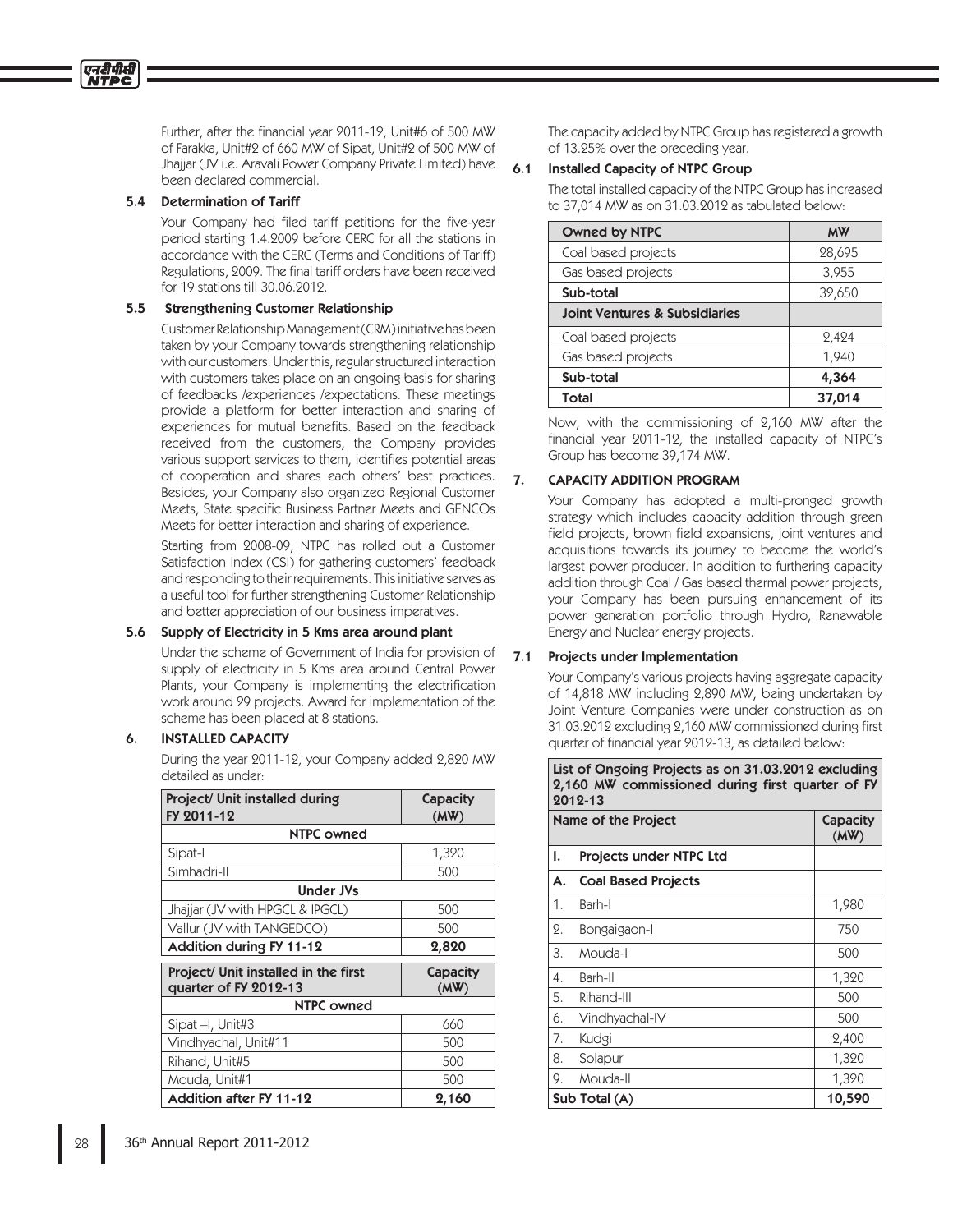Further, after the financial year 2011-12, Unit#6 of 500 MW of Farakka, Unit#2 of 660 MW of Sipat, Unit#2 of 500 MW of Jhajjar (JV i.e. Aravali Power Company Private Limited) have been declared commercial.

#### 5.4 Determination of Tariff

Your Company had filed tariff petitions for the five-year period starting 1.4.2009 before CERC for all the stations in accordance with the CERC (Terms and Conditions of Tariff) Regulations, 2009. The final tariff orders have been received for 19 stations till 30.06.2012.

### 5.5 Strengthening Customer Relationship

 Customer Relationship Management (CRM) initiative has been taken by your Company towards strengthening relationship with our customers. Under this, regular structured interaction with customers takes place on an ongoing basis for sharing of feedbacks /experiences /expectations. These meetings provide a platform for better interaction and sharing of experiences for mutual benefits. Based on the feedback received from the customers, the Company provides various support services to them, identifies potential areas of cooperation and shares each others' best practices. Besides, your Company also organized Regional Customer Meets, State specific Business Partner Meets and GENCOs Meets for better interaction and sharing of experience.

 Starting from 2008-09, NTPC has rolled out a Customer Satisfaction Index (CSI) for gathering customers' feedback and responding to their requirements. This initiative serves as a useful tool for further strengthening Customer Relationship and better appreciation of our business imperatives.

## 5.6 Supply of Electricity in 5 Kms area around plant

 Under the scheme of Government of India for provision of supply of electricity in 5 Kms area around Central Power Plants, your Company is implementing the electrification work around 29 projects. Award for implementation of the scheme has been placed at 8 stations.

## 6. INSTALLED CAPACITY

 During the year 2011-12, your Company added 2,820 MW detailed as under:

| Project/ Unit installed during<br>FY 2011-12                  | Capacity<br>(MW) |
|---------------------------------------------------------------|------------------|
| <b>NTPC owned</b>                                             |                  |
| Sipat-I                                                       | 1,320            |
| Simhadri-II                                                   | 500              |
| <b>Under JVs</b>                                              |                  |
| Jhajjar (JV with HPGCL & IPGCL)                               | 500              |
| Vallur (JV with TANGEDCO)                                     | 500              |
| <b>Addition during FY 11-12</b>                               | 2,820            |
| Project/ Unit installed in the first<br>quarter of FY 2012-13 | Capacity<br>(MW) |
| <b>NTPC owned</b>                                             |                  |
| Sipat -I, Unit#3                                              | 660              |
| Vindhyachal, Unit#11                                          | 500              |
| Rihand, Unit#5                                                | 500              |
| Mouda, Unit#1                                                 | 500              |
| <b>Addition after FY 11-12</b>                                | 2,160            |

 The capacity added by NTPC Group has registered a growth of 13.25% over the preceding year.

## 6.1 Installed Capacity of NTPC Group

 The total installed capacity of the NTPC Group has increased to 37,014 MW as on 31.03.2012 as tabulated below:

| <b>Owned by NTPC</b>                     | <b>MW</b> |
|------------------------------------------|-----------|
| Coal based projects                      | 28,695    |
| Gas based projects                       | 3,955     |
| Sub-total                                | 32,650    |
| <b>Joint Ventures &amp; Subsidiaries</b> |           |
| Coal based projects                      | 2,424     |
| Gas based projects                       | 1,940     |
| Sub-total                                | 4,364     |
| Total                                    | 37,014    |

 Now, with the commissioning of 2,160 MW after the financial year 2011-12, the installed capacity of NTPC's Group has become 39,174 MW.

## 7. CAPACITY ADDITION PROGRAM

 Your Company has adopted a multi-pronged growth strategy which includes capacity addition through green field projects, brown field expansions, joint ventures and acquisitions towards its journey to become the world's largest power producer. In addition to furthering capacity addition through Coal / Gas based thermal power projects, your Company has been pursuing enhancement of its power generation portfolio through Hydro, Renewable Energy and Nuclear energy projects.

## 7.1 Projects under Implementation

 Your Company's various projects having aggregate capacity of 14,818 MW including 2,890 MW, being undertaken by Joint Venture Companies were under construction as on 31.03.2012 excluding 2,160 MW commissioned during first quarter of financial year 2012-13, as detailed below:

|    | List of Ongoing Projects as on 31.03.2012 excluding<br>2,160 MW commissioned during first quarter of FY<br>2012-13 |       |  |
|----|--------------------------------------------------------------------------------------------------------------------|-------|--|
|    | Name of the Project<br>Capacity<br>(MW)                                                                            |       |  |
| ı. | Projects under NTPC Ltd                                                                                            |       |  |
| А. | <b>Coal Based Projects</b>                                                                                         |       |  |
| 1. | Barh-I                                                                                                             | 1,980 |  |
| 2. | Bongaigaon-I                                                                                                       | 750   |  |
| 3. | Mouda-I                                                                                                            | 500   |  |
| 4. | Barh-II                                                                                                            | 1,320 |  |
| 5. | Rihand-III                                                                                                         | 500   |  |
| 6. | Vindhyachal-IV                                                                                                     | 500   |  |
| 7. | Kudgi                                                                                                              | 2,400 |  |
| 8. | Solapur                                                                                                            | 1,320 |  |
| 9. | Mouda-II                                                                                                           | 1,320 |  |
|    | 10,590<br>Sub Total (A)                                                                                            |       |  |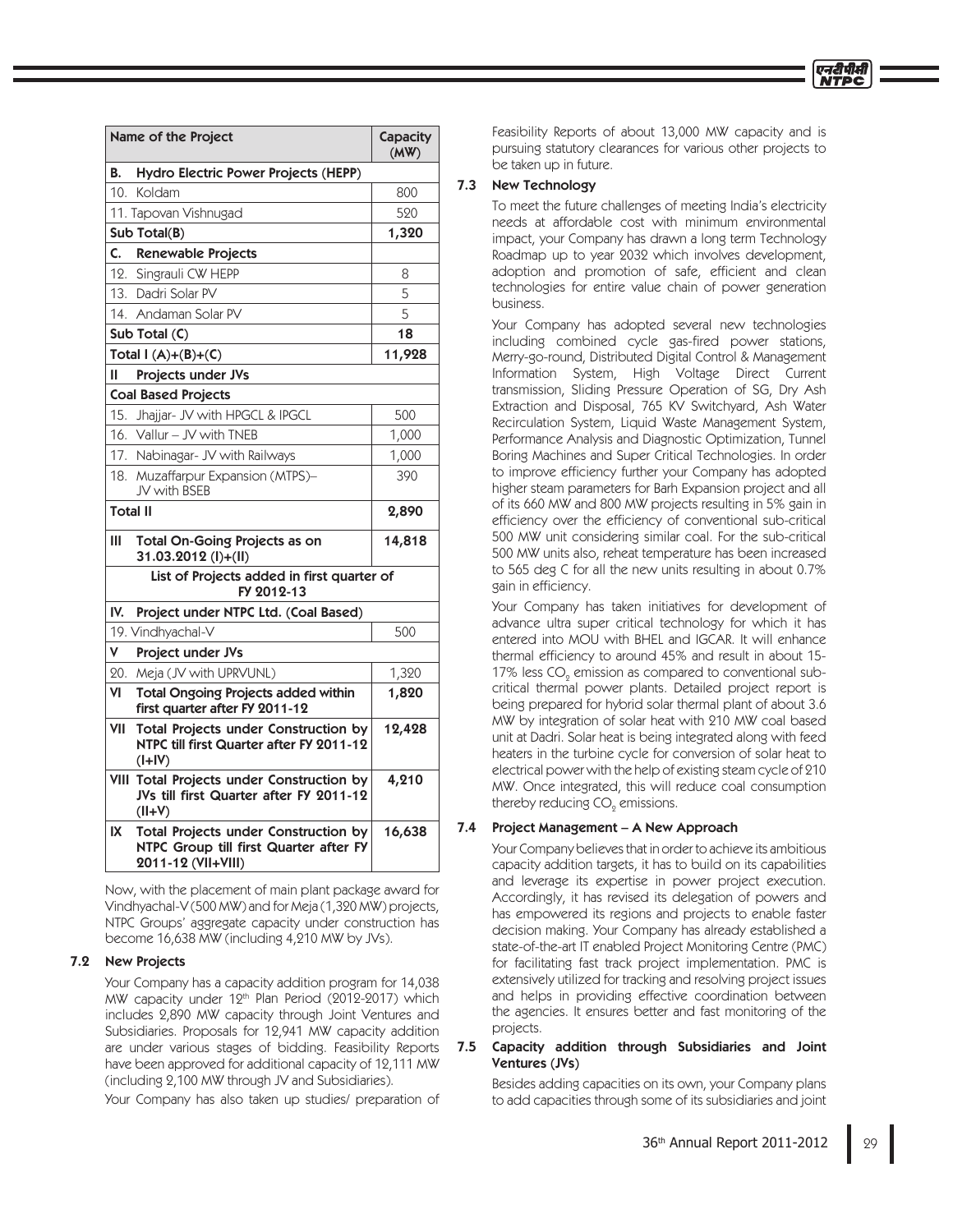| Name of the Project                        |                                                                                                      | Capacity<br>(MW) |  |  |
|--------------------------------------------|------------------------------------------------------------------------------------------------------|------------------|--|--|
| В.<br>Hydro Electric Power Projects (HEPP) |                                                                                                      |                  |  |  |
|                                            | 10. Koldam                                                                                           | 800              |  |  |
|                                            | 11. Tapovan Vishnugad                                                                                | 520              |  |  |
|                                            | Sub Total(B)                                                                                         | 1,320            |  |  |
| C.                                         | Renewable Projects                                                                                   |                  |  |  |
| 12.                                        | Singrauli CW HEPP                                                                                    | 8                |  |  |
|                                            | 13. Dadri Solar PV                                                                                   | 5                |  |  |
|                                            | 14. Andaman Solar PV                                                                                 | 5                |  |  |
|                                            | Sub Total (C)                                                                                        | 18               |  |  |
|                                            | Total $I(A)+(B)+(C)$                                                                                 | 11,928           |  |  |
| Ш                                          | Projects under JVs                                                                                   |                  |  |  |
|                                            | <b>Coal Based Projects</b>                                                                           |                  |  |  |
|                                            | 15. Jhajjar- JV with HPGCL & IPGCL                                                                   | 500              |  |  |
| 16.                                        | Vallur - JV with TNEB                                                                                | 1,000            |  |  |
| 17.                                        | Nabinagar- JV with Railways                                                                          | 1,000            |  |  |
|                                            | 18. Muzaffarpur Expansion (MTPS)-<br>JV with BSEB                                                    | 390              |  |  |
| <b>Total II</b>                            |                                                                                                      | 2,890            |  |  |
| Ш                                          | <b>Total On-Going Projects as on</b><br>31.03.2012 (I)+(II)                                          | 14,818           |  |  |
|                                            | List of Projects added in first quarter of<br>FY 2012-13                                             |                  |  |  |
| IV.                                        | Project under NTPC Ltd. (Coal Based)                                                                 |                  |  |  |
|                                            | 19. Vindhyachal-V                                                                                    | 500              |  |  |
| V                                          | Project under JVs                                                                                    |                  |  |  |
| 20.                                        | Meja (JV with UPRVUNL)                                                                               | 1,320            |  |  |
| ٧I                                         | <b>Total Ongoing Projects added within</b><br>first quarter after FY 2011-12                         | 1,820            |  |  |
| VII                                        | Total Projects under Construction by<br>NTPC till first Quarter after FY 2011-12<br>$(I+IV)$         | 12,428           |  |  |
|                                            | VIII Total Projects under Construction by<br>JVs till first Quarter after FY 2011-12<br>$(VI+VI)$    | 4,210            |  |  |
| IX                                         | Total Projects under Construction by<br>NTPC Group till first Quarter after FY<br>2011-12 (VII+VIII) | 16,638           |  |  |

 Now, with the placement of main plant package award for Vindhyachal-V (500 MW) and for Meja (1,320 MW) projects, NTPC Groups' aggregate capacity under construction has become 16,638 MW (including 4,210 MW by JVs).

#### 7.2 New Projects

 Your Company has a capacity addition program for 14,038 MW capacity under  $12<sup>th</sup>$  Plan Period (2012-2017) which includes 2,890 MW capacity through Joint Ventures and Subsidiaries. Proposals for 12,941 MW capacity addition are under various stages of bidding. Feasibility Reports have been approved for additional capacity of 12,111 MW (including 2,100 MW through JV and Subsidiaries).

Your Company has also taken up studies/ preparation of

Feasibility Reports of about 13,000 MW capacity and is pursuing statutory clearances for various other projects to be taken up in future.

## 7.3 New Technology

 To meet the future challenges of meeting India's electricity needs at affordable cost with minimum environmental impact, your Company has drawn a long term Technology Roadmap up to year 2032 which involves development, adoption and promotion of safe, efficient and clean technologies for entire value chain of power generation business.

 Your Company has adopted several new technologies including combined cycle gas-fired power stations, Merry-go-round, Distributed Digital Control & Management Information System, High Voltage Direct Current transmission, Sliding Pressure Operation of SG, Dry Ash Extraction and Disposal, 765 KV Switchyard, Ash Water Recirculation System, Liquid Waste Management System, Performance Analysis and Diagnostic Optimization, Tunnel Boring Machines and Super Critical Technologies. In order to improve efficiency further your Company has adopted higher steam parameters for Barh Expansion project and all of its 660 MW and 800 MW projects resulting in 5% gain in efficiency over the efficiency of conventional sub-critical 500 MW unit considering similar coal. For the sub-critical 500 MW units also, reheat temperature has been increased to 565 deg C for all the new units resulting in about 0.7% gain in efficiency.

 Your Company has taken initiatives for development of advance ultra super critical technology for which it has entered into MOU with BHEL and IGCAR. It will enhance thermal efficiency to around 45% and result in about 15-17% less CO $_{2}$  emission as compared to conventional subcritical thermal power plants. Detailed project report is being prepared for hybrid solar thermal plant of about 3.6 MW by integration of solar heat with 210 MW coal based unit at Dadri. Solar heat is being integrated along with feed heaters in the turbine cycle for conversion of solar heat to electrical power with the help of existing steam cycle of 210 MW. Once integrated, this will reduce coal consumption thereby reducing CO $_{_2}$  emissions.

## 7.4 Project Management – A New Approach

 Your Company believes that in order to achieve its ambitious capacity addition targets, it has to build on its capabilities and leverage its expertise in power project execution. Accordingly, it has revised its delegation of powers and has empowered its regions and projects to enable faster decision making. Your Company has already established a state-of-the-art IT enabled Project Monitoring Centre (PMC) for facilitating fast track project implementation. PMC is extensively utilized for tracking and resolving project issues and helps in providing effective coordination between the agencies. It ensures better and fast monitoring of the projects.

### 7.5 Capacity addition through Subsidiaries and Joint Ventures (JVs)

 Besides adding capacities on its own, your Company plans to add capacities through some of its subsidiaries and joint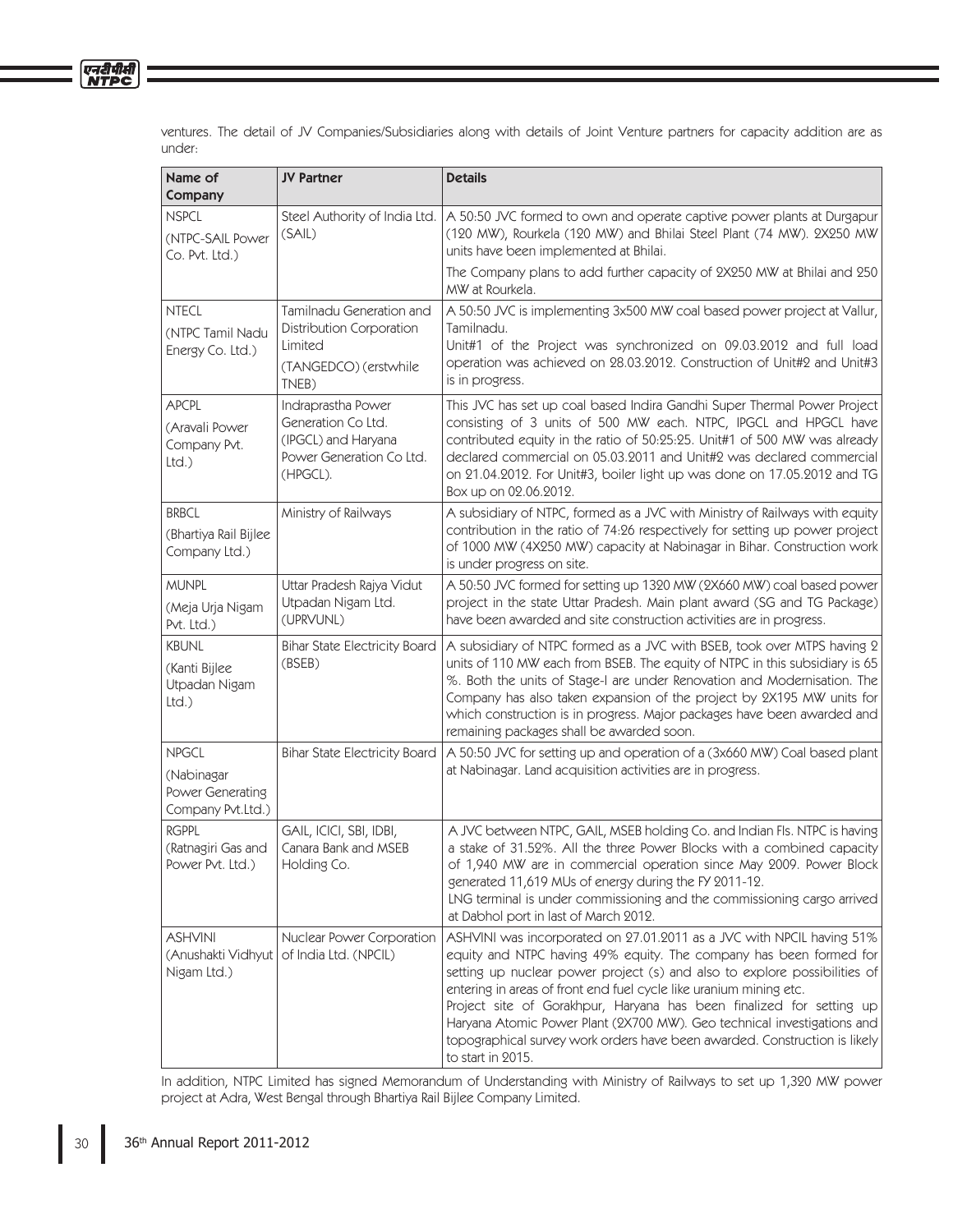ventures. The detail of JV Companies/Subsidiaries along with details of Joint Venture partners for capacity addition are as under:

| Name of<br>Company                                                  | <b>JV Partner</b>                                                                                       | <b>Details</b>                                                                                                                                                                                                                                                                                                                                                                                                                                                                                                                                       |
|---------------------------------------------------------------------|---------------------------------------------------------------------------------------------------------|------------------------------------------------------------------------------------------------------------------------------------------------------------------------------------------------------------------------------------------------------------------------------------------------------------------------------------------------------------------------------------------------------------------------------------------------------------------------------------------------------------------------------------------------------|
| <b>NSPCL</b><br>(NTPC-SAIL Power<br>Co. Pvt. Ltd.)                  | Steel Authority of India Ltd.<br>(SAIL)                                                                 | A 50:50 JVC formed to own and operate captive power plants at Durgapur<br>(120 MW), Rourkela (120 MW) and Bhilai Steel Plant (74 MW). 2X250 MW<br>units have been implemented at Bhilai.                                                                                                                                                                                                                                                                                                                                                             |
|                                                                     |                                                                                                         | The Company plans to add further capacity of 2X250 MW at Bhilai and 250<br>MW at Rourkela.                                                                                                                                                                                                                                                                                                                                                                                                                                                           |
| <b>NTECL</b><br>(NTPC Tamil Nadu<br>Energy Co. Ltd.)                | Tamilnadu Generation and<br><b>Distribution Corporation</b><br>Limited<br>(TANGEDCO) (erstwhile         | A 50:50 JVC is implementing 3x500 MW coal based power project at Vallur,<br>Tamilnadu.<br>Unit#1 of the Project was synchronized on 09.03.2012 and full load<br>operation was achieved on 28.03.2012. Construction of Unit#2 and Unit#3                                                                                                                                                                                                                                                                                                              |
|                                                                     | TNEB)                                                                                                   | is in progress.                                                                                                                                                                                                                                                                                                                                                                                                                                                                                                                                      |
| <b>APCPL</b><br>(Aravali Power<br>Company Pvt.<br>Ltd.              | Indraprastha Power<br>Generation Co Ltd.<br>(IPGCL) and Haryana<br>Power Generation Co Ltd.<br>(HPGCL). | This JVC has set up coal based Indira Gandhi Super Thermal Power Project<br>consisting of 3 units of 500 MW each. NTPC, IPGCL and HPGCL have<br>contributed equity in the ratio of 50:25:25. Unit#1 of 500 MW was already<br>declared commercial on 05.03.2011 and Unit#2 was declared commercial<br>on 21.04.2012. For Unit#3, boiler light up was done on 17.05.2012 and TG<br>Box up on 02.06.2012.                                                                                                                                               |
| <b>BRBCL</b><br>(Bhartiya Rail Bijlee<br>Company Ltd.)              | Ministry of Railways                                                                                    | A subsidiary of NTPC, formed as a JVC with Ministry of Railways with equity<br>contribution in the ratio of 74:26 respectively for setting up power project<br>of 1000 MW (4X250 MW) capacity at Nabinagar in Bihar. Construction work<br>is under progress on site.                                                                                                                                                                                                                                                                                 |
| <b>MUNPL</b><br>(Meja Urja Nigam<br>Pvt. Ltd.)                      | Uttar Pradesh Rajya Vidut<br>Utpadan Nigam Ltd.<br>(UPRVUNL)                                            | A 50:50 JVC formed for setting up 1320 MW (2X660 MW) coal based power<br>project in the state Uttar Pradesh. Main plant award (SG and TG Package)<br>have been awarded and site construction activities are in progress.                                                                                                                                                                                                                                                                                                                             |
| <b>KBUNL</b><br>(Kanti Bijlee<br>Utpadan Nigam<br>Ltd.)             | <b>Bihar State Electricity Board</b><br>(BSEB)                                                          | A subsidiary of NTPC formed as a JVC with BSEB, took over MTPS having 2<br>units of 110 MW each from BSEB. The equity of NTPC in this subsidiary is 65<br>%. Both the units of Stage-I are under Renovation and Modernisation. The<br>Company has also taken expansion of the project by 2X195 MW units for<br>which construction is in progress. Major packages have been awarded and<br>remaining packages shall be awarded soon.                                                                                                                  |
| <b>NPGCL</b><br>(Nabinagar<br>Power Generating<br>Company Pvt.Ltd.) | <b>Bihar State Electricity Board</b>                                                                    | A 50:50 JVC for setting up and operation of a (3x660 MW) Coal based plant<br>at Nabinagar. Land acquisition activities are in progress.                                                                                                                                                                                                                                                                                                                                                                                                              |
| <b>RGPPL</b><br>(Ratnagiri Gas and<br>Power Pvt. Ltd.)              | GAIL, ICICI, SBI, IDBI,<br>Canara Bank and MSEB<br>Holding Co.                                          | A JVC between NTPC, GAIL, MSEB holding Co. and Indian Fls. NTPC is having<br>a stake of 31.52%. All the three Power Blocks with a combined capacity<br>of 1,940 MW are in commercial operation since May 2009. Power Block<br>generated 11,619 MUs of energy during the FY 2011-12.<br>LNG terminal is under commissioning and the commissioning cargo arrived<br>at Dabhol port in last of March 2012.                                                                                                                                              |
| <b>ASHVINI</b><br>(Anushakti Vidhyut<br>Nigam Ltd.)                 | Nuclear Power Corporation<br>of India Ltd. (NPCIL)                                                      | ASHVINI was incorporated on 27.01.2011 as a JVC with NPCIL having 51%<br>equity and NTPC having 49% equity. The company has been formed for<br>setting up nuclear power project (s) and also to explore possibilities of<br>entering in areas of front end fuel cycle like uranium mining etc.<br>Project site of Gorakhpur, Haryana has been finalized for setting up<br>Haryana Atomic Power Plant (2X700 MW). Geo technical investigations and<br>topographical survey work orders have been awarded. Construction is likely<br>to start in 2015. |

 In addition, NTPC Limited has signed Memorandum of Understanding with Ministry of Railways to set up 1,320 MW power project at Adra, West Bengal through Bhartiya Rail Bijlee Company Limited.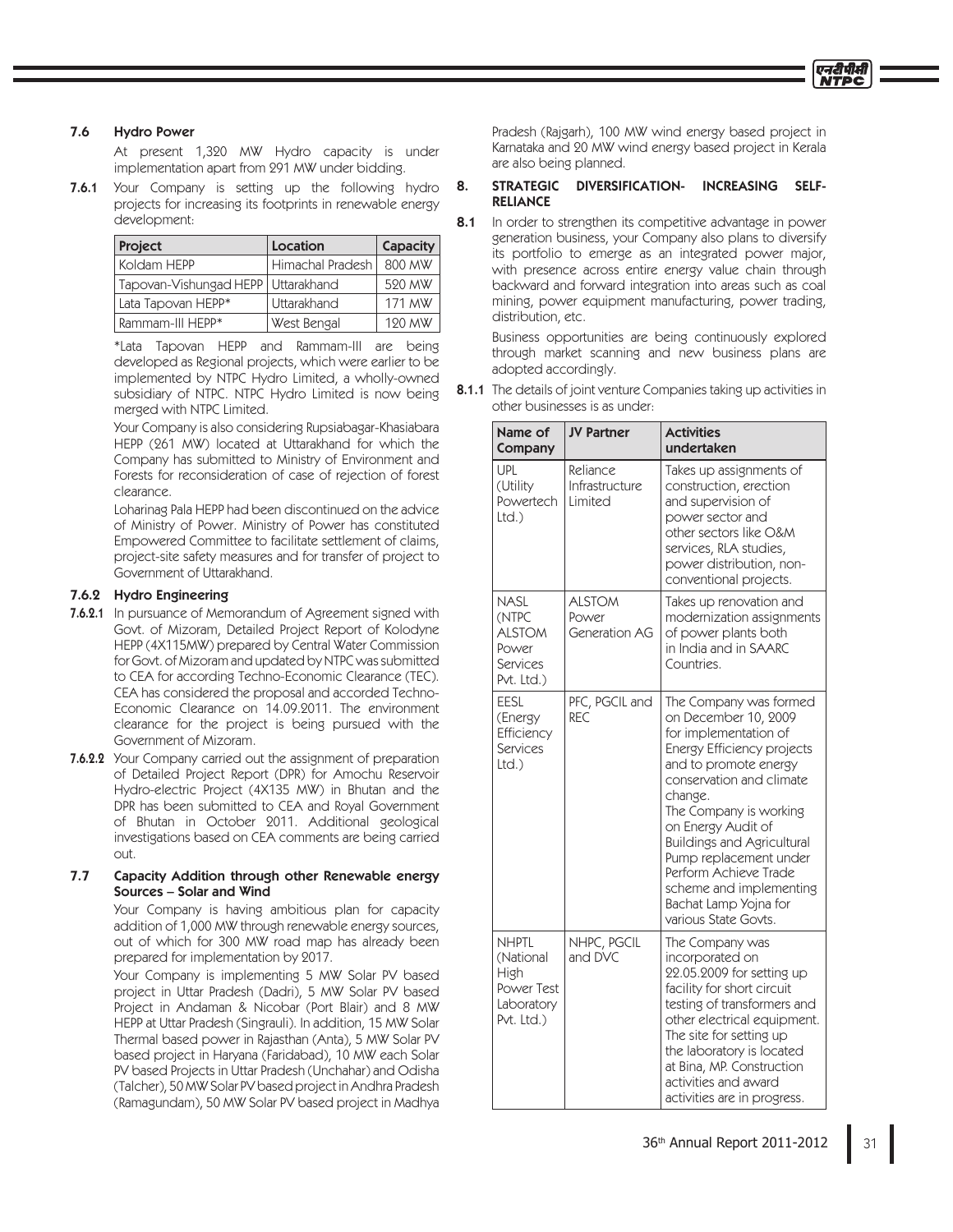## 7.6 Hydro Power

 At present 1,320 MW Hydro capacity is under implementation apart from 291 MW under bidding.

**7.6.1** Your Company is setting up the following hydro projects for increasing its footprints in renewable energy development:

| <b>Project</b>                       | Location         | Capacity |
|--------------------------------------|------------------|----------|
| Koldam HEPP                          | Himachal Pradesh | 800 MW   |
| Tapovan-Vishungad HEPP   Uttarakhand |                  | 520 MW   |
| Lata Tapovan HEPP*                   | Uttarakhand      | 171 MW   |
| Rammam-III HEPP*                     | West Bengal      | 120 MW   |

 \*Lata Tapovan HEPP and Rammam-III are being developed as Regional projects, which were earlier to be implemented by NTPC Hydro Limited, a wholly-owned subsidiary of NTPC. NTPC Hydro Limited is now being merged with NTPC Limited.

 Your Company is also considering Rupsiabagar-Khasiabara HEPP (261 MW) located at Uttarakhand for which the Company has submitted to Ministry of Environment and Forests for reconsideration of case of rejection of forest clearance.

 Loharinag Pala HEPP had been discontinued on the advice of Ministry of Power. Ministry of Power has constituted Empowered Committee to facilitate settlement of claims, project-site safety measures and for transfer of project to Government of Uttarakhand.

## 7.6.2 Hydro Engineering

- 7.6.2.1 In pursuance of Memorandum of Agreement signed with Govt. of Mizoram, Detailed Project Report of Kolodyne HEPP (4X115MW) prepared by Central Water Commission for Govt. of Mizoram and updated by NTPC was submitted to CEA for according Techno-Economic Clearance (TEC). CEA has considered the proposal and accorded Techno-Economic Clearance on 14.09.2011. The environment clearance for the project is being pursued with the Government of Mizoram.
- **7.6.2.2** Your Company carried out the assignment of preparation of Detailed Project Report (DPR) for Amochu Reservoir Hydro-electric Project (4X135 MW) in Bhutan and the DPR has been submitted to CEA and Royal Government of Bhutan in October 2011. Additional geological investigations based on CEA comments are being carried out.

## 7.7 Capacity Addition through other Renewable energy Sources – Solar and Wind

 Your Company is having ambitious plan for capacity addition of 1,000 MW through renewable energy sources, out of which for 300 MW road map has already been prepared for implementation by 2017.

 Your Company is implementing 5 MW Solar PV based project in Uttar Pradesh (Dadri), 5 MW Solar PV based Project in Andaman & Nicobar (Port Blair) and 8 MW HEPP at Uttar Pradesh (Singrauli). In addition, 15 MW Solar Thermal based power in Rajasthan (Anta), 5 MW Solar PV based project in Haryana (Faridabad), 10 MW each Solar PV based Projects in Uttar Pradesh (Unchahar) and Odisha (Talcher), 50 MW Solar PV based project in Andhra Pradesh (Ramagundam), 50 MW Solar PV based project in Madhya

 Pradesh (Rajgarh), 100 MW wind energy based project in Karnataka and 20 MW wind energy based project in Kerala are also being planned.

## 8. STRATEGIC DIVERSIFICATION- INCREASING SELF-RELIANCE

8.1 In order to strengthen its competitive advantage in power generation business, your Company also plans to diversify its portfolio to emerge as an integrated power major, with presence across entire energy value chain through backward and forward integration into areas such as coal mining, power equipment manufacturing, power trading, distribution, etc.

 Business opportunities are being continuously explored through market scanning and new business plans are adopted accordingly.

8.1.1 The details of joint venture Companies taking up activities in other businesses is as under:

| Name of<br>Company                                                          | <b>JV Partner</b>                       | <b>Activities</b><br>undertaken                                                                                                                                                                                                                                                                                                                                                           |  |
|-----------------------------------------------------------------------------|-----------------------------------------|-------------------------------------------------------------------------------------------------------------------------------------------------------------------------------------------------------------------------------------------------------------------------------------------------------------------------------------------------------------------------------------------|--|
| UPL<br>(Utility<br>Powertech<br>Ltd.                                        | Reliance<br>Infrastructure<br>Limited   | Takes up assignments of<br>construction, erection<br>and supervision of<br>power sector and<br>other sectors like O&M<br>services, RLA studies,<br>power distribution, non-<br>conventional projects.                                                                                                                                                                                     |  |
| <b>NASL</b><br>(NTPC<br><b>ALSTOM</b><br>Power<br>Services<br>Pvt. Ltd.)    | <b>ALSTOM</b><br>Power<br>Generation AG | Takes up renovation and<br>modernization assignments<br>of power plants both<br>in India and in SAARC<br>Countries.                                                                                                                                                                                                                                                                       |  |
| EESL<br>(Energy<br>Efficiency<br><b>Services</b><br>Ltd.                    | PFC, PGCIL and<br>RFC                   | The Company was formed<br>on December 10, 2009<br>for implementation of<br>Energy Efficiency projects<br>and to promote energy<br>conservation and climate<br>change.<br>The Company is working<br>on Energy Audit of<br><b>Buildings and Agricultural</b><br>Pump replacement under<br>Perform Achieve Trade<br>scheme and implementing<br>Bachat Lamp Yojna for<br>various State Govts. |  |
| <b>NHPTL</b><br>(National<br>High<br>Power Test<br>Laboratory<br>Pvt. Ltd.) | NHPC, PGCIL<br>and DVC                  | The Company was<br>incorporated on<br>22.05.2009 for setting up<br>facility for short circuit<br>testing of transformers and<br>other electrical equipment.<br>The site for setting up<br>the laboratory is located<br>at Bina, MP. Construction<br>activities and award<br>activities are in progress.                                                                                   |  |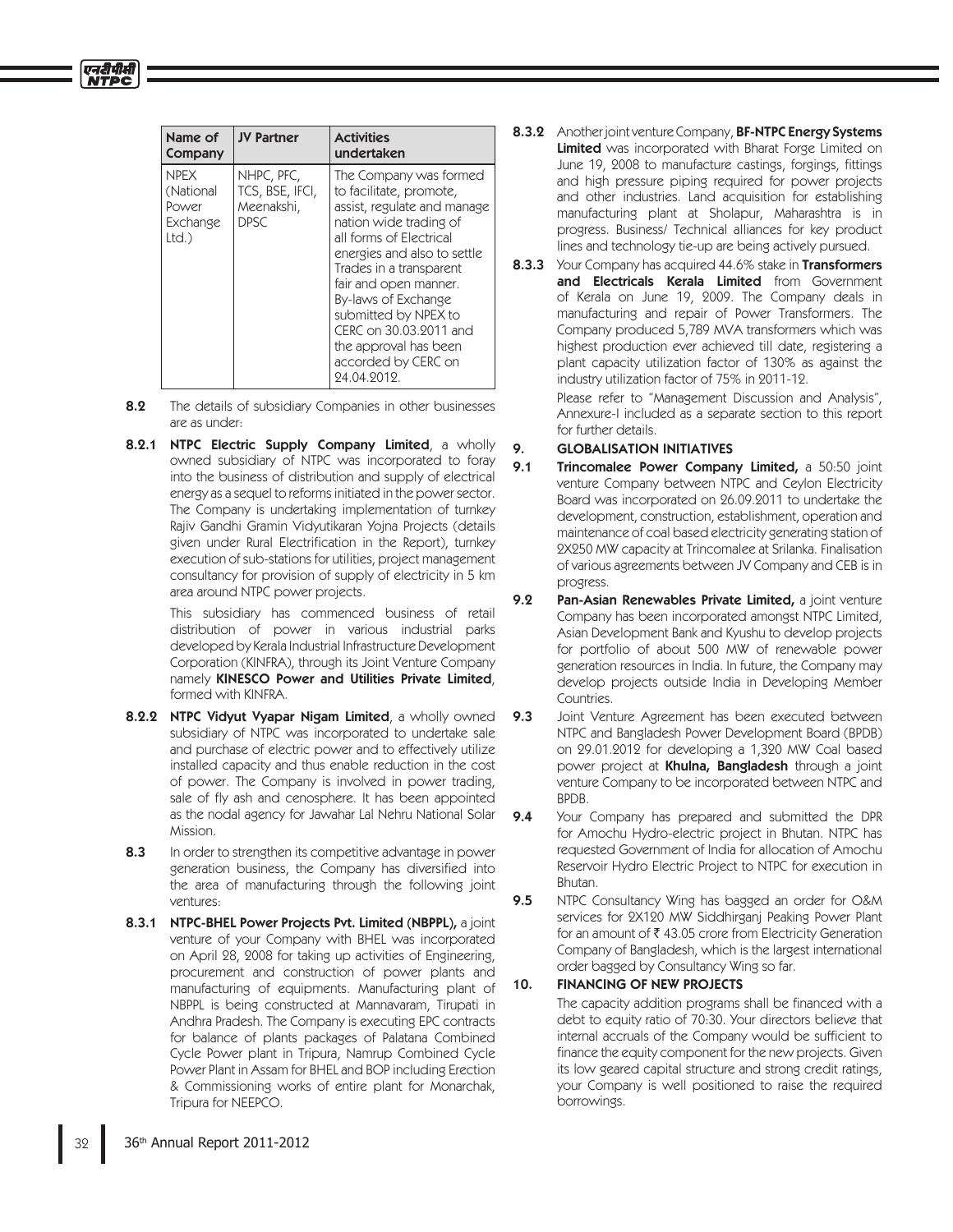| Name of<br>Company                                    | <b>JV Partner</b>                                          | <b>Activities</b><br>undertaken                                                                                                                                                                                                                                                                                                                                  |
|-------------------------------------------------------|------------------------------------------------------------|------------------------------------------------------------------------------------------------------------------------------------------------------------------------------------------------------------------------------------------------------------------------------------------------------------------------------------------------------------------|
| <b>NPFX</b><br>(National<br>Power<br>Exchange<br>Ltd. | NHPC, PFC,<br>TCS, BSE, IFCI,<br>Meenakshi,<br><b>DPSC</b> | The Company was formed<br>to facilitate, promote,<br>assist, regulate and manage<br>nation wide trading of<br>all forms of Electrical<br>energies and also to settle<br>Trades in a transparent<br>fair and open manner.<br>By-laws of Exchange<br>submitted by NPEX to<br>CERC on 30.03.2011 and<br>the approval has been<br>accorded by CERC on<br>24.04.2012. |

एनदीपीसी

- **8.2** The details of subsidiary Companies in other businesses are as under:
- 8.2.1 NTPC Electric Supply Company Limited, a wholly owned subsidiary of NTPC was incorporated to foray into the business of distribution and supply of electrical energy as a sequel to reforms initiated in the power sector. The Company is undertaking implementation of turnkey Rajiv Gandhi Gramin Vidyutikaran Yojna Projects (details given under Rural Electrification in the Report), turnkey execution of sub-stations for utilities, project management consultancy for provision of supply of electricity in 5 km area around NTPC power projects.

 This subsidiary has commenced business of retail distribution of power in various industrial parks developed by Kerala Industrial Infrastructure Development Corporation (KINFRA), through its Joint Venture Company namely KINESCO Power and Utilities Private Limited, formed with KINFRA.

- 8.2.2 NTPC Vidyut Vyapar Nigam Limited, a wholly owned subsidiary of NTPC was incorporated to undertake sale and purchase of electric power and to effectively utilize installed capacity and thus enable reduction in the cost of power. The Company is involved in power trading, sale of fly ash and cenosphere. It has been appointed as the nodal agency for Jawahar Lal Nehru National Solar Mission.
- 8.3 In order to strengthen its competitive advantage in power generation business, the Company has diversified into the area of manufacturing through the following joint ventures:
- 8.3.1 NTPC-BHEL Power Projects Pvt. Limited (NBPPL), a joint venture of your Company with BHEL was incorporated on April 28, 2008 for taking up activities of Engineering, procurement and construction of power plants and manufacturing of equipments. Manufacturing plant of NBPPL is being constructed at Mannavaram, Tirupati in Andhra Pradesh. The Company is executing EPC contracts for balance of plants packages of Palatana Combined Cycle Power plant in Tripura, Namrup Combined Cycle Power Plant in Assam for BHEL and BOP including Erection & Commissioning works of entire plant for Monarchak, Tripura for NEEPCO.
- 8.3.2 Another joint venture Company, BF-NTPC Energy Systems Limited was incorporated with Bharat Forge Limited on June 19, 2008 to manufacture castings, forgings, fittings and high pressure piping required for power projects and other industries. Land acquisition for establishing manufacturing plant at Sholapur, Maharashtra is in progress. Business/ Technical alliances for key product lines and technology tie-up are being actively pursued.
- 8.3.3 Your Company has acquired 44.6% stake in Transformers and Electricals Kerala Limited from Government of Kerala on June 19, 2009. The Company deals in manufacturing and repair of Power Transformers. The Company produced 5,789 MVA transformers which was highest production ever achieved till date, registering a plant capacity utilization factor of 130% as against the industry utilization factor of 75% in 2011-12.

 Please refer to "Management Discussion and Analysis", Annexure-I included as a separate section to this report for further details.

# 9. GLOBALISATION INITIATIVES

- 9.1 Trincomalee Power Company Limited, a 50:50 joint venture Company between NTPC and Ceylon Electricity Board was incorporated on 26.09.2011 to undertake the development, construction, establishment, operation and maintenance of coal based electricity generating station of 2X250 MW capacity at Trincomalee at Srilanka. Finalisation of various agreements between JV Company and CEB is in progress.
- 9.2 Pan-Asian Renewables Private Limited, a joint venture Company has been incorporated amongst NTPC Limited, Asian Development Bank and Kyushu to develop projects for portfolio of about 500 MW of renewable power generation resources in India. In future, the Company may develop projects outside India in Developing Member Countries.
- **9.3** Joint Venture Agreement has been executed between NTPC and Bangladesh Power Development Board (BPDB) on 29.01.2012 for developing a 1,320 MW Coal based power project at Khulna, Bangladesh through a joint venture Company to be incorporated between NTPC and BPDB.
- **9.4** Your Company has prepared and submitted the DPR for Amochu Hydro-electric project in Bhutan. NTPC has requested Government of India for allocation of Amochu Reservoir Hydro Electric Project to NTPC for execution in Bhutan.
- 9.5 NTPC Consultancy Wing has bagged an order for O&M services for 2X120 MW Siddhirganj Peaking Power Plant for an amount of 43.05 crore from Electricity Generation Company of Bangladesh, which is the largest international order bagged by Consultancy Wing so far.

# 10. FINANCING OF NEW PROJECTS

The capacity addition programs shall be financed with a debt to equity ratio of 70:30. Your directors believe that internal accruals of the Company would be sufficient to finance the equity component for the new projects. Given its low geared capital structure and strong credit ratings, your Company is well positioned to raise the required borrowings.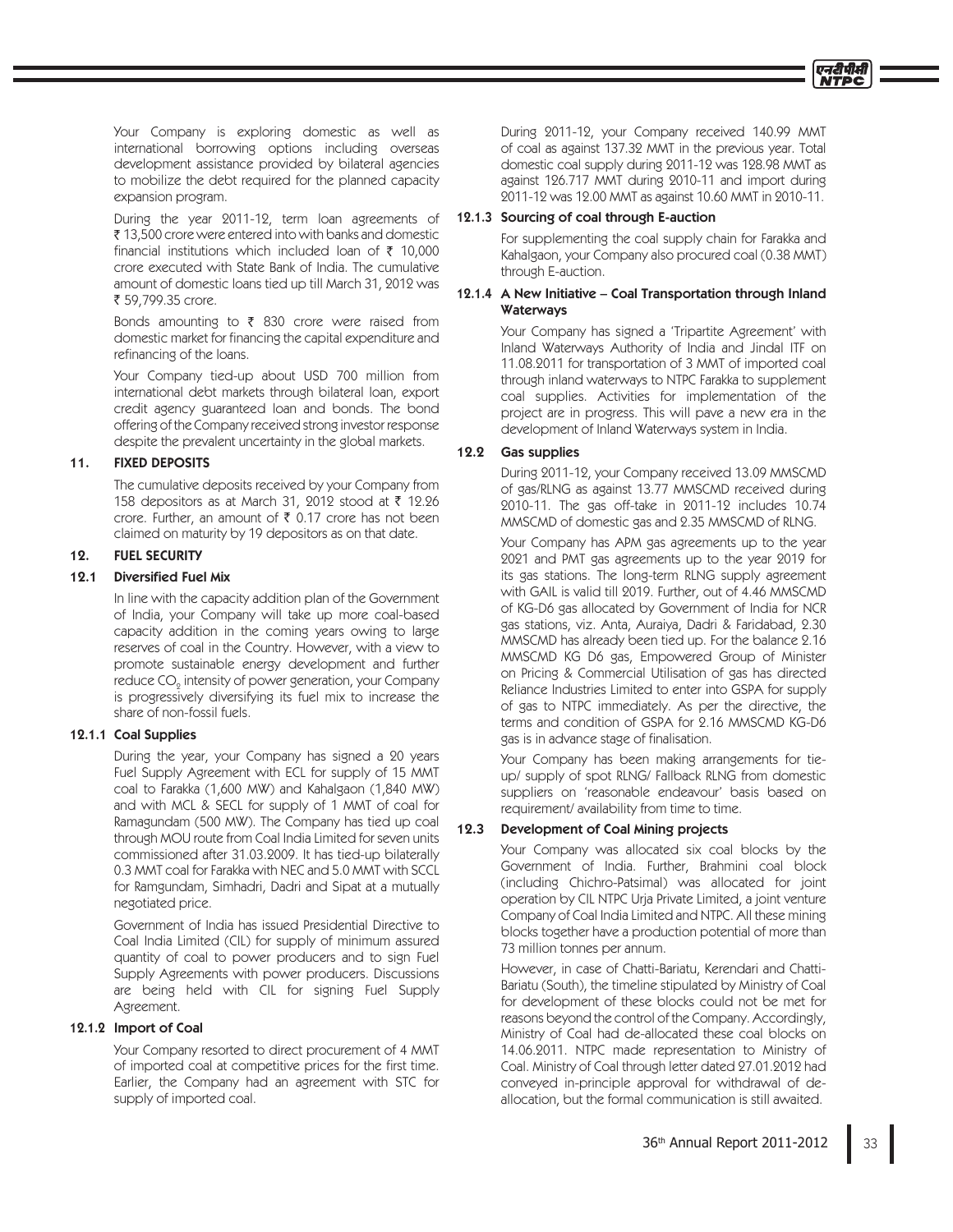Your Company is exploring domestic as well as international borrowing options including overseas development assistance provided by bilateral agencies to mobilize the debt required for the planned capacity expansion program.

 During the year 2011-12, term loan agreements of 13,500 crore were entered into with banks and domestic financial institutions which included loan of  $\bar{\tau}$  10,000 crore executed with State Bank of India. The cumulative amount of domestic loans tied up till March 31, 2012 was ₹ 59,799.35 crore.

 Bonds amounting to 830 crore were raised from domestic market for financing the capital expenditure and refinancing of the loans.

> Your Company tied-up about USD 700 million from international debt markets through bilateral loan, export credit agency guaranteed loan and bonds. The bond offering of the Company received strong investor response despite the prevalent uncertainty in the global markets.

## 11. FIXED DEPOSITS

 The cumulative deposits received by your Company from 158 depositors as at March 31, 2012 stood at 12.26 crore. Further, an amount of  $\bar{\tau}$  0.17 crore has not been claimed on maturity by 19 depositors as on that date.

## 12. FUEL SECURITY

## 12.1 Diversified Fuel Mix

 In line with the capacity addition plan of the Government of India, your Company will take up more coal-based capacity addition in the coming years owing to large reserves of coal in the Country. However, with a view to promote sustainable energy development and further reduce CO $_{\textrm{\tiny{\tiny{2}}} }$  intensity of power generation, your Company is progressively diversifying its fuel mix to increase the share of non-fossil fuels.

## 12.1.1 Coal Supplies

 During the year, your Company has signed a 20 years Fuel Supply Agreement with ECL for supply of 15 MMT coal to Farakka (1,600 MW) and Kahalgaon (1,840 MW) and with MCL & SECL for supply of 1 MMT of coal for Ramagundam (500 MW). The Company has tied up coal through MOU route from Coal India Limited for seven units commissioned after 31.03.2009. It has tied-up bilaterally 0.3 MMT coal for Farakka with NEC and 5.0 MMT with SCCL for Ramgundam, Simhadri, Dadri and Sipat at a mutually negotiated price.

 Government of India has issued Presidential Directive to Coal India Limited (CIL) for supply of minimum assured quantity of coal to power producers and to sign Fuel Supply Agreements with power producers. Discussions are being held with CIL for signing Fuel Supply Agreement.

## 12.1.2 Import of Coal

 Your Company resorted to direct procurement of 4 MMT of imported coal at competitive prices for the first time. Earlier, the Company had an agreement with STC for supply of imported coal.

 During 2011-12, your Company received 140.99 MMT of coal as against 137.32 MMT in the previous year. Total domestic coal supply during 2011-12 was 128.98 MMT as against 126.717 MMT during 2010-11 and import during 2011-12 was 12.00 MMT as against 10.60 MMT in 2010-11.

#### 12.1.3 Sourcing of coal through E-auction

 For supplementing the coal supply chain for Farakka and Kahalgaon, your Company also procured coal (0.38 MMT) through E-auction.

### 12.1.4 A New Initiative – Coal Transportation through Inland **Waterways**

 Your Company has signed a 'Tripartite Agreement' with Inland Waterways Authority of India and Jindal ITF on 11.08.2011 for transportation of 3 MMT of imported coal through inland waterways to NTPC Farakka to supplement coal supplies. Activities for implementation of the project are in progress. This will pave a new era in the development of Inland Waterways system in India.

## 12.2 Gas supplies

 During 2011-12, your Company received 13.09 MMSCMD of gas/RLNG as against 13.77 MMSCMD received during 2010-11. The gas off-take in 2011-12 includes 10.74 MMSCMD of domestic gas and 2.35 MMSCMD of RLNG.

 Your Company has APM gas agreements up to the year 2021 and PMT gas agreements up to the year 2019 for its gas stations. The long-term RLNG supply agreement with GAIL is valid till 2019. Further, out of 4.46 MMSCMD of KG-D6 gas allocated by Government of India for NCR gas stations, viz. Anta, Auraiya, Dadri & Faridabad, 2.30 MMSCMD has already been tied up. For the balance 2.16 MMSCMD KG D6 gas, Empowered Group of Minister on Pricing & Commercial Utilisation of gas has directed Reliance Industries Limited to enter into GSPA for supply of gas to NTPC immediately. As per the directive, the terms and condition of GSPA for 2.16 MMSCMD KG-D6 gas is in advance stage of finalisation.

 Your Company has been making arrangements for tieup/ supply of spot RLNG/ Fallback RLNG from domestic suppliers on 'reasonable endeavour' basis based on requirement/ availability from time to time.

## 12.3 Development of Coal Mining projects

 Your Company was allocated six coal blocks by the Government of India. Further, Brahmini coal block (including Chichro-Patsimal) was allocated for joint operation by CIL NTPC Urja Private Limited, a joint venture Company of Coal India Limited and NTPC. All these mining blocks together have a production potential of more than 73 million tonnes per annum.

 However, in case of Chatti-Bariatu, Kerendari and Chatti-Bariatu (South), the timeline stipulated by Ministry of Coal for development of these blocks could not be met for reasons beyond the control of the Company. Accordingly, Ministry of Coal had de-allocated these coal blocks on 14.06.2011. NTPC made representation to Ministry of Coal. Ministry of Coal through letter dated 27.01.2012 had conveyed in-principle approval for withdrawal of deallocation, but the formal communication is still awaited.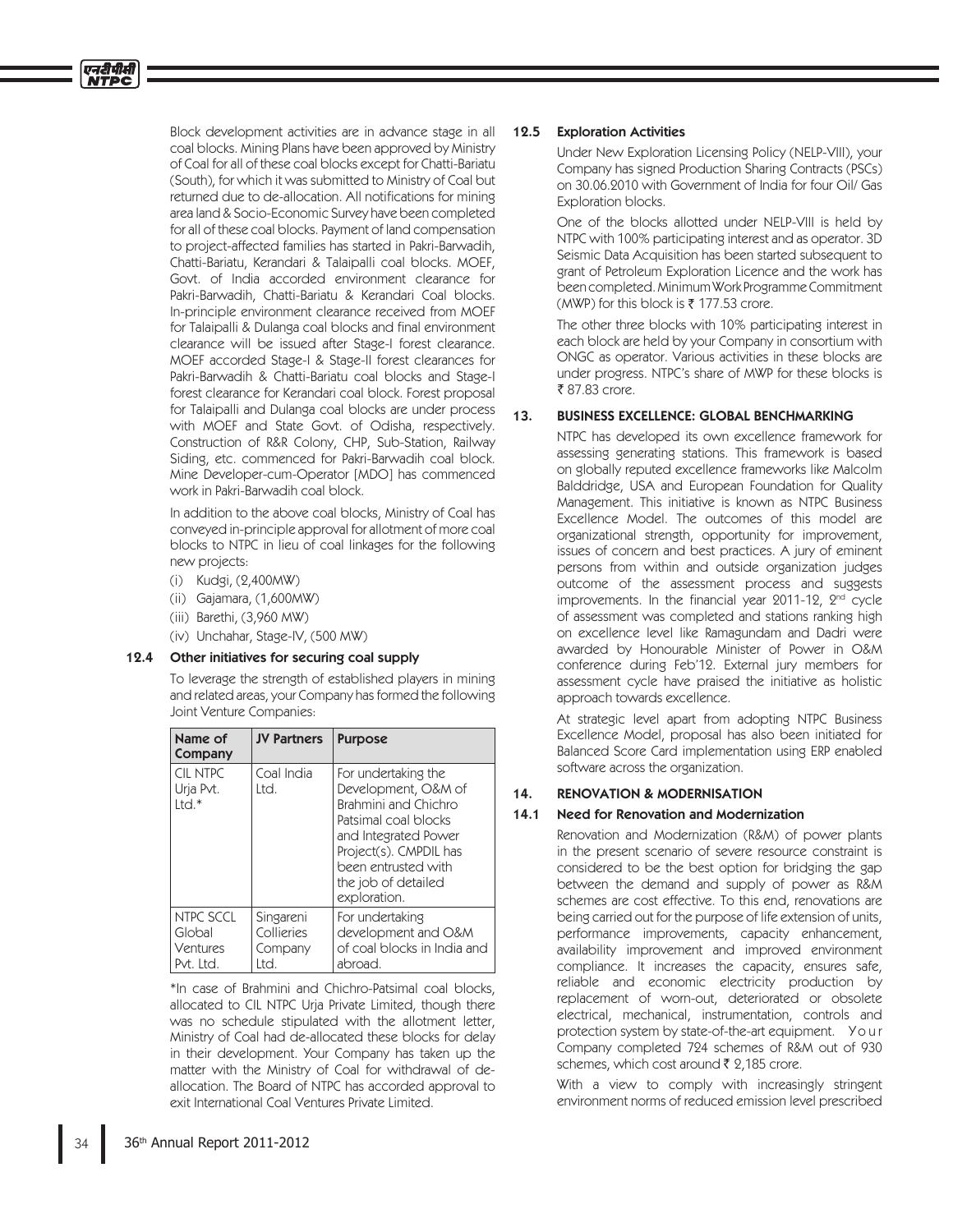Block development activities are in advance stage in all coal blocks. Mining Plans have been approved by Ministry of Coal for all of these coal blocks except for Chatti-Bariatu (South), for which it was submitted to Ministry of Coal but returned due to de-allocation. All notifications for mining area land & Socio-Economic Survey have been completed for all of these coal blocks. Payment of land compensation to project-affected families has started in Pakri-Barwadih, Chatti-Bariatu, Kerandari & Talaipalli coal blocks. MOEF, Govt. of India accorded environment clearance for Pakri-Barwadih, Chatti-Bariatu & Kerandari Coal blocks. In-principle environment clearance received from MOEF for Talaipalli & Dulanga coal blocks and final environment clearance will be issued after Stage-I forest clearance. MOEF accorded Stage-I & Stage-II forest clearances for Pakri-Barwadih & Chatti-Bariatu coal blocks and Stage-I forest clearance for Kerandari coal block. Forest proposal for Talaipalli and Dulanga coal blocks are under process with MOEF and State Govt. of Odisha, respectively. Construction of R&R Colony, CHP, Sub-Station, Railway Siding, etc. commenced for Pakri-Barwadih coal block. Mine Developer-cum-Operator [MDO] has commenced work in Pakri-Barwadih coal block.

 In addition to the above coal blocks, Ministry of Coal has conveyed in-principle approval for allotment of more coal blocks to NTPC in lieu of coal linkages for the following new projects:

(i) Kudgi, (2,400MW)

एनटीपीसी

- (ii) Gajamara, (1,600MW)
- (iii) Barethi, (3,960 MW)
- (iv) Unchahar, Stage-IV, (500 MW)

## 12.4 Other initiatives for securing coal supply

 To leverage the strength of established players in mining and related areas, your Company has formed the following Joint Venture Companies:

| Name of<br>Company                           | <b>JV Partners</b>                         | <b>Purpose</b>                                                                                                                                                                                             |
|----------------------------------------------|--------------------------------------------|------------------------------------------------------------------------------------------------------------------------------------------------------------------------------------------------------------|
| CIL NTPC<br>Urja Pvt.<br>$Intd.*$            | Coal India<br>Ltd.                         | For undertaking the<br>Development, O&M of<br>Brahmini and Chichro<br>Patsimal coal blocks<br>and Integrated Power<br>Project(s). CMPDIL has<br>been entrusted with<br>the job of detailed<br>exploration. |
| NTPC SCCL<br>Global<br>Ventures<br>Pvt. Ltd. | Singareni<br>Collieries<br>Company<br>Itd. | For undertaking<br>development and O&M<br>of coal blocks in India and<br>abroad.                                                                                                                           |

 \*In case of Brahmini and Chichro-Patsimal coal blocks, allocated to CIL NTPC Urja Private Limited, though there was no schedule stipulated with the allotment letter, Ministry of Coal had de-allocated these blocks for delay in their development. Your Company has taken up the matter with the Ministry of Coal for withdrawal of deallocation. The Board of NTPC has accorded approval to exit International Coal Ventures Private Limited.

#### 12.5 Exploration Activities

 Under New Exploration Licensing Policy (NELP-VIII), your Company has signed Production Sharing Contracts (PSCs) on 30.06.2010 with Government of India for four Oil/ Gas Exploration blocks.

 One of the blocks allotted under NELP-VIII is held by NTPC with 100% participating interest and as operator. 3D Seismic Data Acquisition has been started subsequent to grant of Petroleum Exploration Licence and the work has been completed. Minimum Work Programme Commitment (MWP) for this block is 177.53 crore.

 The other three blocks with 10% participating interest in each block are held by your Company in consortium with ONGC as operator. Various activities in these blocks are under progress. NTPC's share of MWP for these blocks is 87.83 crore.

## 13. BUSINESS EXCELLENCE: GLOBAL BENCHMARKING

 NTPC has developed its own excellence framework for assessing generating stations. This framework is based on globally reputed excellence frameworks like Malcolm Balddridge, USA and European Foundation for Quality Management. This initiative is known as NTPC Business Excellence Model. The outcomes of this model are organizational strength, opportunity for improvement, issues of concern and best practices. A jury of eminent persons from within and outside organization judges outcome of the assessment process and suggests improvements. In the financial year 2011-12, 2<sup>nd</sup> cycle of assessment was completed and stations ranking high on excellence level like Ramagundam and Dadri were awarded by Honourable Minister of Power in O&M conference during Feb'12. External jury members for assessment cycle have praised the initiative as holistic approach towards excellence.

 At strategic level apart from adopting NTPC Business Excellence Model, proposal has also been initiated for Balanced Score Card implementation using ERP enabled software across the organization.

# 14. RENOVATION & MODERNISATION

## 14.1 Need for Renovation and Modernization

 Renovation and Modernization (R&M) of power plants in the present scenario of severe resource constraint is considered to be the best option for bridging the gap between the demand and supply of power as R&M schemes are cost effective. To this end, renovations are being carried out for the purpose of life extension of units, performance improvements, capacity enhancement, availability improvement and improved environment compliance. It increases the capacity, ensures safe, reliable and economic electricity production by replacement of worn-out, deteriorated or obsolete electrical, mechanical, instrumentation, controls and protection system by state-of-the-art equipment. Y o u r Company completed 724 schemes of R&M out of 930 schemes, which cost around 2,185 crore.

With a view to comply with increasingly stringent environment norms of reduced emission level prescribed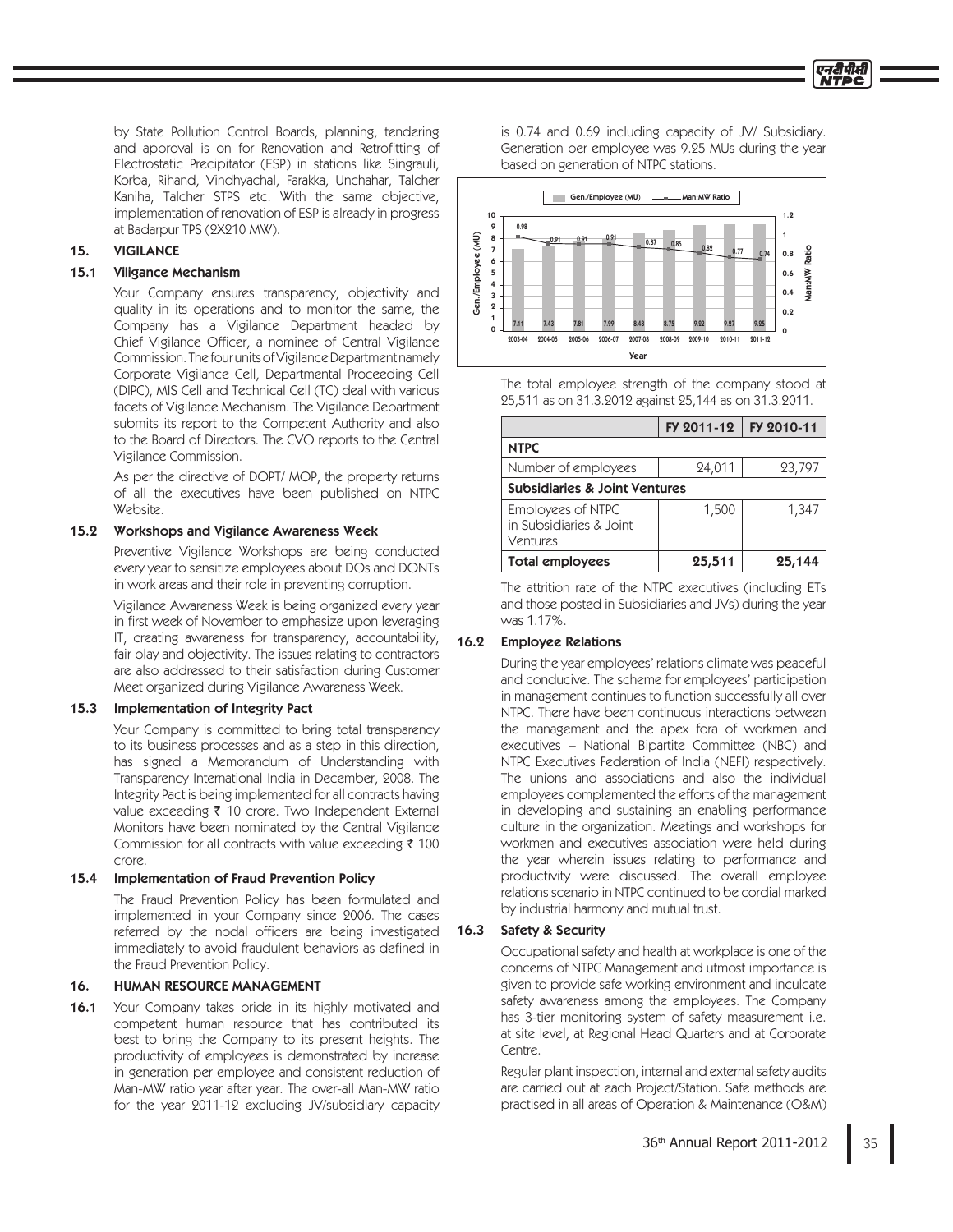by State Pollution Control Boards, planning, tendering and approval is on for Renovation and Retrofitting of Electrostatic Precipitator (ESP) in stations like Singrauli, Korba, Rihand, Vindhyachal, Farakka, Unchahar, Talcher Kaniha, Talcher STPS etc. With the same objective, implementation of renovation of ESP is already in progress at Badarpur TPS (2X210 MW).

## 15. VIGILANCE

### 15.1 Viligance Mechanism

 Your Company ensures transparency, objectivity and quality in its operations and to monitor the same, the Company has a Vigilance Department headed by Chief Vigilance Officer, a nominee of Central Vigilance Commission. The four units of Vigilance Department namely Corporate Vigilance Cell, Departmental Proceeding Cell (DIPC), MIS Cell and Technical Cell (TC) deal with various facets of Vigilance Mechanism. The Vigilance Department submits its report to the Competent Authority and also to the Board of Directors. The CVO reports to the Central Vigilance Commission.

 As per the directive of DOPT/ MOP, the property returns of all the executives have been published on NTPC Website.

#### 15.2 Workshops and Vigilance Awareness Week

 Preventive Vigilance Workshops are being conducted every year to sensitize employees about DOs and DONTs in work areas and their role in preventing corruption.

 Vigilance Awareness Week is being organized every year in first week of November to emphasize upon leveraging IT, creating awareness for transparency, accountability, fair play and objectivity. The issues relating to contractors are also addressed to their satisfaction during Customer Meet organized during Vigilance Awareness Week.

#### 15.3 Implementation of Integrity Pact

 Your Company is committed to bring total transparency to its business processes and as a step in this direction, has signed a Memorandum of Understanding with Transparency International India in December, 2008. The Integrity Pact is being implemented for all contracts having value exceeding 10 crore. Two Independent External Monitors have been nominated by the Central Vigilance Commission for all contracts with value exceeding 100 crore.

## 15.4 Implementation of Fraud Prevention Policy

 The Fraud Prevention Policy has been formulated and implemented in your Company since 2006. The cases referred by the nodal officers are being investigated immediately to avoid fraudulent behaviors as defined in the Fraud Prevention Policy.

## 16. HUMAN RESOURCE MANAGEMENT

16.1 Your Company takes pride in its highly motivated and competent human resource that has contributed its best to bring the Company to its present heights. The productivity of employees is demonstrated by increase in generation per employee and consistent reduction of Man-MW ratio year after year. The over-all Man-MW ratio for the year 2011-12 excluding JV/subsidiary capacity

is 0.74 and 0.69 including capacity of JV/ Subsidiary. Generation per employee was 9.25 MUs during the year based on generation of NTPC stations.



 The total employee strength of the company stood at 25,511 as on 31.3.2012 against 25,144 as on 31.3.2011.

|                                                          | FY 2011-12 | FY 2010-11 |  |
|----------------------------------------------------------|------------|------------|--|
| <b>NTPC</b>                                              |            |            |  |
| Number of employees                                      | 24,011     | 23,797     |  |
| <b>Subsidiaries &amp; Joint Ventures</b>                 |            |            |  |
| Employees of NTPC<br>in Subsidiaries & Joint<br>Ventures | 1,500      | 1,347      |  |
| <b>Total employees</b>                                   | 25,511     | 25,144     |  |

 The attrition rate of the NTPC executives (including ETs and those posted in Subsidiaries and JVs) during the year was 1.17%.

## 16.2 Employee Relations

 During the year employees' relations climate was peaceful and conducive. The scheme for employees' participation in management continues to function successfully all over NTPC. There have been continuous interactions between the management and the apex fora of workmen and executives – National Bipartite Committee (NBC) and NTPC Executives Federation of India (NEFI) respectively. The unions and associations and also the individual employees complemented the efforts of the management in developing and sustaining an enabling performance culture in the organization. Meetings and workshops for workmen and executives association were held during the year wherein issues relating to performance and productivity were discussed. The overall employee relations scenario in NTPC continued to be cordial marked by industrial harmony and mutual trust.

#### 16.3 Safety & Security

 Occupational safety and health at workplace is one of the concerns of NTPC Management and utmost importance is given to provide safe working environment and inculcate safety awareness among the employees. The Company has 3-tier monitoring system of safety measurement i.e. at site level, at Regional Head Quarters and at Corporate Centre.

 Regular plant inspection, internal and external safety audits are carried out at each Project/Station. Safe methods are practised in all areas of Operation & Maintenance (O&M)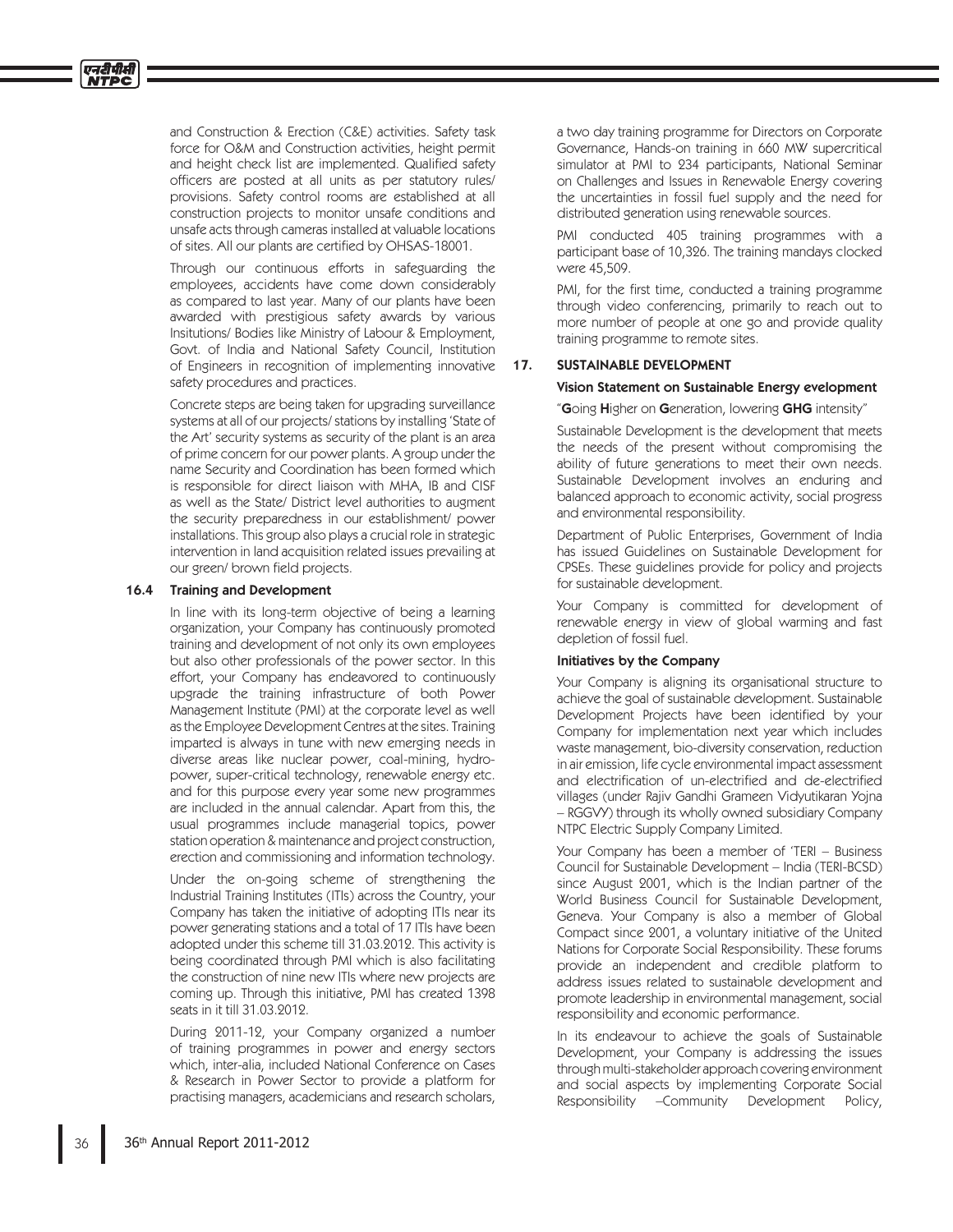and Construction & Erection (C&E) activities. Safety task force for O&M and Construction activities, height permit and height check list are implemented. Qualified safety officers are posted at all units as per statutory rules/ provisions. Safety control rooms are established at all construction projects to monitor unsafe conditions and unsafe acts through cameras installed at valuable locations of sites. All our plants are certified by OHSAS-18001.

 Through our continuous efforts in safeguarding the employees, accidents have come down considerably as compared to last year. Many of our plants have been awarded with prestigious safety awards by various Insitutions/ Bodies like Ministry of Labour & Employment, Govt. of India and National Safety Council, Institution of Engineers in recognition of implementing innovative safety procedures and practices.

 Concrete steps are being taken for upgrading surveillance systems at all of our projects/ stations by installing 'State of the Art' security systems as security of the plant is an area of prime concern for our power plants. A group under the name Security and Coordination has been formed which is responsible for direct liaison with MHA, IB and CISF as well as the State/ District level authorities to augment the security preparedness in our establishment/ power installations. This group also plays a crucial role in strategic intervention in land acquisition related issues prevailing at our green/ brown field projects.

#### 16.4 Training and Development

 In line with its long-term objective of being a learning organization, your Company has continuously promoted training and development of not only its own employees but also other professionals of the power sector. In this effort, your Company has endeavored to continuously upgrade the training infrastructure of both Power Management Institute (PMI) at the corporate level as well as the Employee Development Centres at the sites. Training imparted is always in tune with new emerging needs in diverse areas like nuclear power, coal-mining, hydropower, super-critical technology, renewable energy etc. and for this purpose every year some new programmes are included in the annual calendar. Apart from this, the usual programmes include managerial topics, power station operation & maintenance and project construction, erection and commissioning and information technology.

 Under the on-going scheme of strengthening the Industrial Training Institutes (ITIs) across the Country, your Company has taken the initiative of adopting ITIs near its power generating stations and a total of 17 ITIs have been adopted under this scheme till 31.03.2012. This activity is being coordinated through PMI which is also facilitating the construction of nine new ITIs where new projects are coming up. Through this initiative, PMI has created 1398 seats in it till 31.03.2012.

 During 2011-12, your Company organized a number of training programmes in power and energy sectors which, inter-alia, included National Conference on Cases & Research in Power Sector to provide a platform for practising managers, academicians and research scholars,

a two day training programme for Directors on Corporate Governance, Hands-on training in 660 MW supercritical simulator at PMI to 234 participants, National Seminar on Challenges and Issues in Renewable Energy covering the uncertainties in fossil fuel supply and the need for distributed generation using renewable sources.

 PMI conducted 405 training programmes with a participant base of 10,326. The training mandays clocked were 45,509.

PMI, for the first time, conducted a training programme through video conferencing, primarily to reach out to more number of people at one go and provide quality training programme to remote sites.

#### 17. SUSTAINABLE DEVELOPMENT

#### Vision Statement on Sustainable Energy evelopment

#### "Going Higher on Generation, lowering GHG intensity'

 Sustainable Development is the development that meets the needs of the present without compromising the ability of future generations to meet their own needs. Sustainable Development involves an enduring and balanced approach to economic activity, social progress and environmental responsibility.

 Department of Public Enterprises, Government of India has issued Guidelines on Sustainable Development for CPSEs. These guidelines provide for policy and projects for sustainable development.

 Your Company is committed for development of renewable energy in view of global warming and fast depletion of fossil fuel.

#### Initiatives by the Company

 Your Company is aligning its organisational structure to achieve the goal of sustainable development. Sustainable Development Projects have been identified by your Company for implementation next year which includes waste management, bio-diversity conservation, reduction in air emission, life cycle environmental impact assessment and electrification of un-electrified and de-electrified villages (under Rajiv Gandhi Grameen Vidyutikaran Yojna – RGGVY) through its wholly owned subsidiary Company NTPC Electric Supply Company Limited.

 Your Company has been a member of 'TERI – Business Council for Sustainable Development – India (TERI-BCSD) since August 2001, which is the Indian partner of the World Business Council for Sustainable Development, Geneva. Your Company is also a member of Global Compact since 2001, a voluntary initiative of the United Nations for Corporate Social Responsibility. These forums provide an independent and credible platform to address issues related to sustainable development and promote leadership in environmental management, social responsibility and economic performance.

 In its endeavour to achieve the goals of Sustainable Development, your Company is addressing the issues through multi-stakeholder approach covering environment and social aspects by implementing Corporate Social Responsibility –Community Development Policy,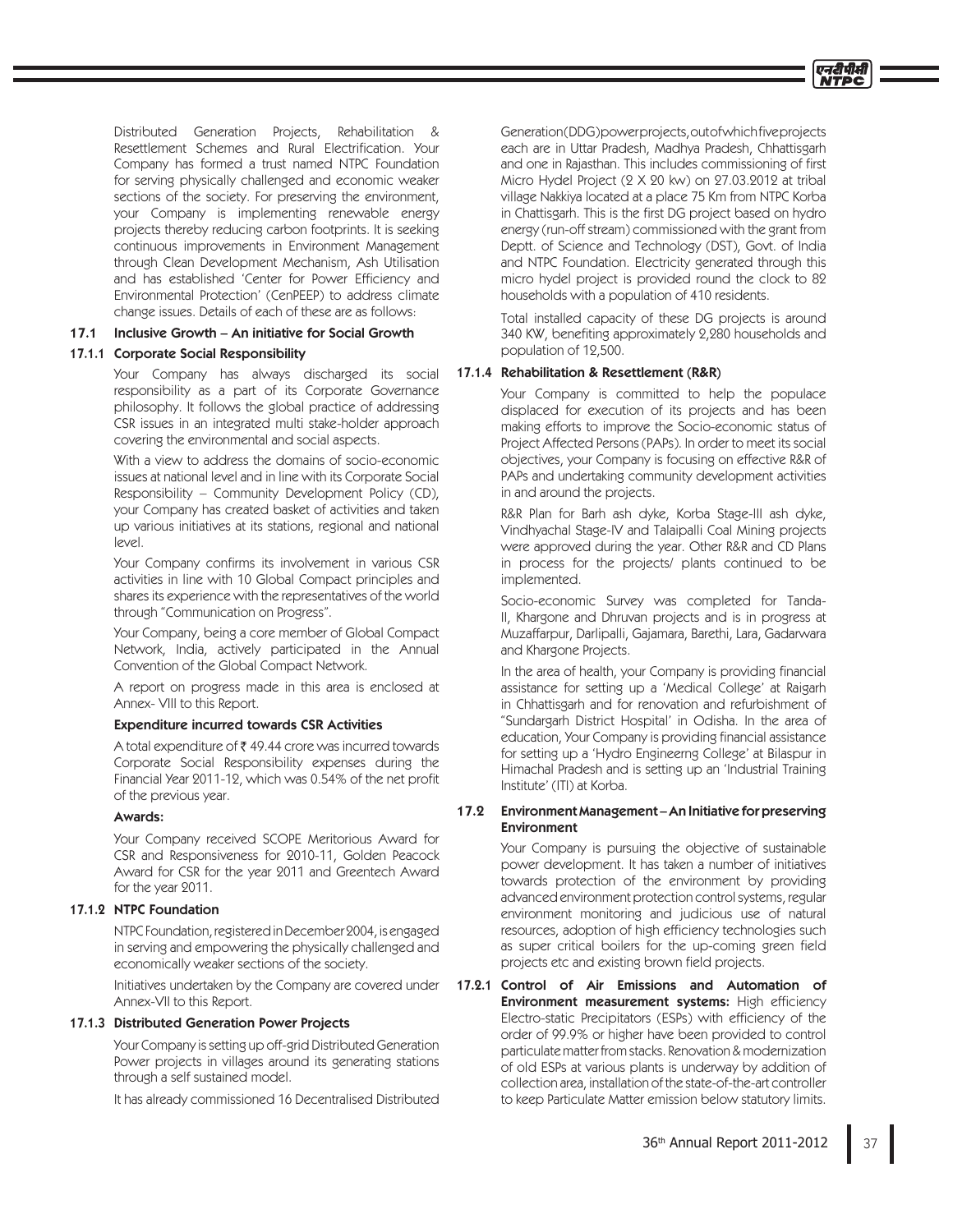Distributed Generation Projects, Rehabilitation & Resettlement Schemes and Rural Electrification. Your Company has formed a trust named NTPC Foundation for serving physically challenged and economic weaker sections of the society. For preserving the environment, your Company is implementing renewable energy projects thereby reducing carbon footprints. It is seeking continuous improvements in Environment Management through Clean Development Mechanism, Ash Utilisation and has established 'Center for Power Efficiency and Environmental Protection' (CenPEEP) to address climate change issues. Details of each of these are as follows:

#### 17.1 Inclusive Growth – An initiative for Social Growth

#### 17.1.1 Corporate Social Responsibility

 Your Company has always discharged its social responsibility as a part of its Corporate Governance philosophy. It follows the global practice of addressing CSR issues in an integrated multi stake-holder approach covering the environmental and social aspects.

 With a view to address the domains of socio-economic issues at national level and in line with its Corporate Social Responsibility – Community Development Policy (CD), your Company has created basket of activities and taken up various initiatives at its stations, regional and national level.

Your Company confirms its involvement in various CSR activities in line with 10 Global Compact principles and shares its experience with the representatives of the world through "Communication on Progress".

 Your Company, being a core member of Global Compact Network, India, actively participated in the Annual Convention of the Global Compact Network.

 A report on progress made in this area is enclosed at Annex- VIII to this Report.

#### Expenditure incurred towards CSR Activities

A total expenditure of  $\bar{\bar{\tau}}$  49.44 crore was incurred towards Corporate Social Responsibility expenses during the Financial Year 2011-12, which was 0.54% of the net profit of the previous year.

#### Awards:

 Your Company received SCOPE Meritorious Award for CSR and Responsiveness for 2010-11, Golden Peacock Award for CSR for the year 2011 and Greentech Award for the year 2011.

## 17.1.2 NTPC Foundation

 NTPC Foundation, registered in December 2004, is engaged in serving and empowering the physically challenged and economically weaker sections of the society.

 Initiatives undertaken by the Company are covered under Annex-VII to this Report.

#### 17.1.3 Distributed Generation Power Projects

 Your Company is setting up off-grid Distributed Generation Power projects in villages around its generating stations through a self sustained model.

It has already commissioned 16 Decentralised Distributed

Generation (DDG) power projects, out of which five projects each are in Uttar Pradesh, Madhya Pradesh, Chhattisgarh and one in Rajasthan. This includes commissioning of first Micro Hydel Project (2 X 20 kw) on 27.03.2012 at tribal village Nakkiya located at a place 75 Km from NTPC Korba in Chattisgarh. This is the first DG project based on hydro energy (run-off stream) commissioned with the grant from Deptt. of Science and Technology (DST), Govt. of India and NTPC Foundation. Electricity generated through this micro hydel project is provided round the clock to 82 households with a population of 410 residents.

 Total installed capacity of these DG projects is around 340 KW, benefiting approximately 2,280 households and population of 12,500.

### 17.1.4 Rehabilitation & Resettlement (R&R)

 Your Company is committed to help the populace displaced for execution of its projects and has been making efforts to improve the Socio-economic status of Project Affected Persons (PAPs). In order to meet its social objectives, your Company is focusing on effective R&R of PAPs and undertaking community development activities in and around the projects.

 R&R Plan for Barh ash dyke, Korba Stage-III ash dyke, Vindhyachal Stage-IV and Talaipalli Coal Mining projects were approved during the year. Other R&R and CD Plans in process for the projects/ plants continued to be implemented.

 Socio-economic Survey was completed for Tanda-II, Khargone and Dhruvan projects and is in progress at Muzaffarpur, Darlipalli, Gajamara, Barethi, Lara, Gadarwara and Khargone Projects.

In the area of health, your Company is providing financial assistance for setting up a 'Medical College' at Raigarh in Chhattisgarh and for renovation and refurbishment of "Sundargarh District Hospital' in Odisha. In the area of education, Your Company is providing financial assistance for setting up a 'Hydro Engineerng College' at Bilaspur in Himachal Pradesh and is setting up an 'Industrial Training Institute' (ITI) at Korba.

### 17.2 Environment Management – An Initiative for preserving **Environment**

 Your Company is pursuing the objective of sustainable power development. It has taken a number of initiatives towards protection of the environment by providing advanced environment protection control systems, regular environment monitoring and judicious use of natural resources, adoption of high efficiency technologies such as super critical boilers for the up-coming green field projects etc and existing brown field projects.

17.2.1 Control of Air Emissions and Automation of Environment measurement systems: High efficiency Electro-static Precipitators (ESPs) with efficiency of the order of 99.9% or higher have been provided to control particulate matter from stacks. Renovation & modernization of old ESPs at various plants is underway by addition of collection area, installation of the state-of-the-art controller to keep Particulate Matter emission below statutory limits.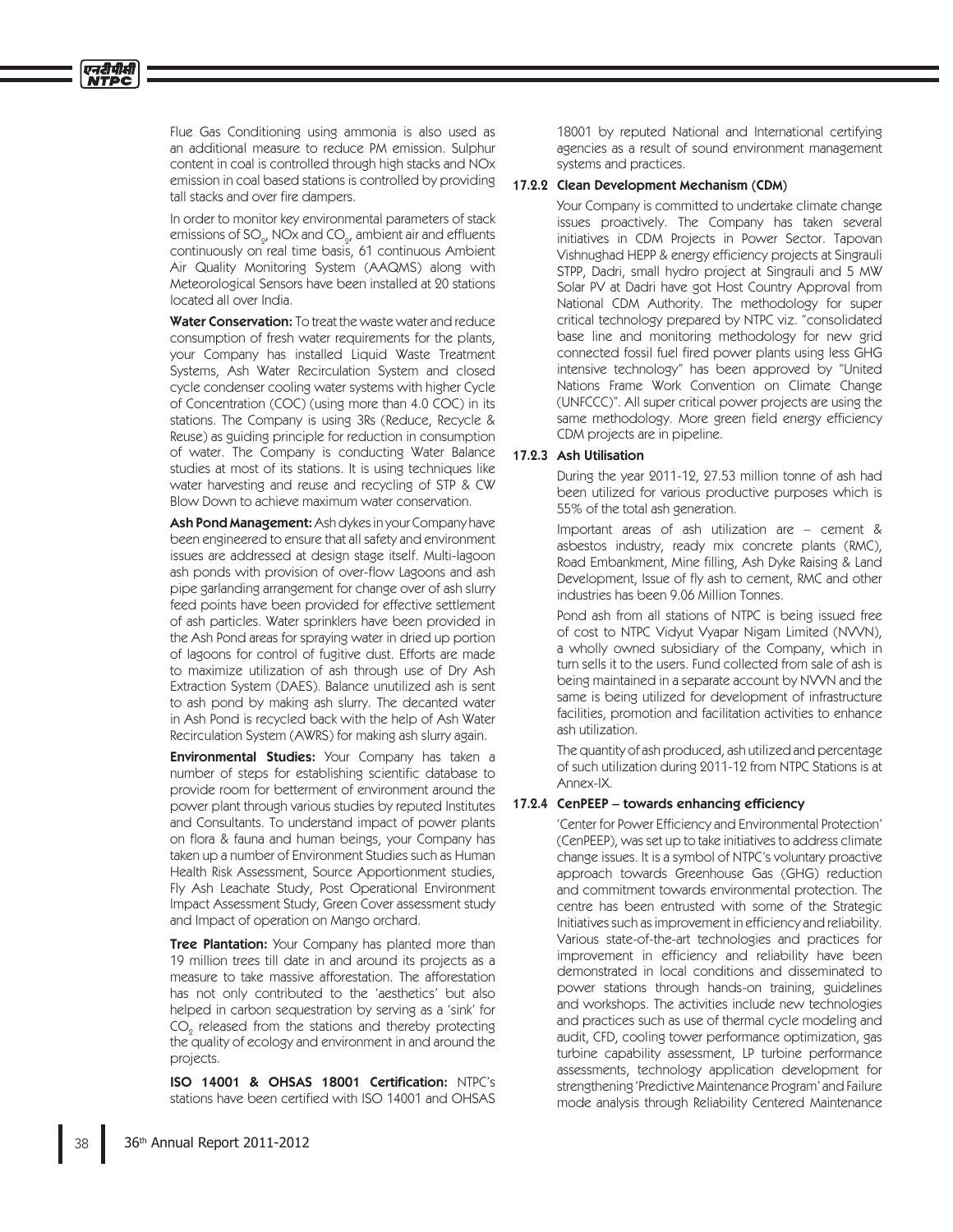Flue Gas Conditioning using ammonia is also used as an additional measure to reduce PM emission. Sulphur content in coal is controlled through high stacks and NOx emission in coal based stations is controlled by providing tall stacks and over fire dampers.

 In order to monitor key environmental parameters of stack emissions of SO $_{\rm 2^{\prime}}$  NOx and CO $_{\rm 2^{\prime}}$  ambient air and effluents continuously on real time basis, 61 continuous Ambient Air Quality Monitoring System (AAQMS) along with Meteorological Sensors have been installed at 20 stations located all over India.

Water Conservation: To treat the waste water and reduce consumption of fresh water requirements for the plants, your Company has installed Liquid Waste Treatment Systems, Ash Water Recirculation System and closed cycle condenser cooling water systems with higher Cycle of Concentration (COC) (using more than 4.0 COC) in its stations. The Company is using 3Rs (Reduce, Recycle & Reuse) as guiding principle for reduction in consumption of water. The Company is conducting Water Balance studies at most of its stations. It is using techniques like water harvesting and reuse and recycling of STP & CW Blow Down to achieve maximum water conservation.

Ash Pond Management: Ash dykes in your Company have been engineered to ensure that all safety and environment issues are addressed at design stage itself. Multi-lagoon ash ponds with provision of over-flow Lagoons and ash pipe garlanding arrangement for change over of ash slurry feed points have been provided for effective settlement of ash particles. Water sprinklers have been provided in the Ash Pond areas for spraying water in dried up portion of lagoons for control of fugitive dust. Efforts are made to maximize utilization of ash through use of Dry Ash Extraction System (DAES). Balance unutilized ash is sent to ash pond by making ash slurry. The decanted water in Ash Pond is recycled back with the help of Ash Water Recirculation System (AWRS) for making ash slurry again.

**Environmental Studies:** Your Company has taken a number of steps for establishing scientific database to provide room for betterment of environment around the power plant through various studies by reputed Institutes and Consultants. To understand impact of power plants on flora & fauna and human beings, your Company has taken up a number of Environment Studies such as Human Health Risk Assessment, Source Apportionment studies, Fly Ash Leachate Study, Post Operational Environment Impact Assessment Study, Green Cover assessment study and Impact of operation on Mango orchard.

**Tree Plantation:** Your Company has planted more than 19 million trees till date in and around its projects as a measure to take massive afforestation. The afforestation has not only contributed to the 'aesthetics' but also helped in carbon sequestration by serving as a 'sink' for  $\mathrm{CO}_2^{\phantom{\dag}}$  released from the stations and thereby protecting the quality of ecology and environment in and around the projects.

ISO 14001 & OHSAS 18001 Certification: NTPC's stations have been certified with ISO 14001 and OHSAS

18001 by reputed National and International certifying agencies as a result of sound environment management systems and practices.

### 17.2.2 Clean Development Mechanism (CDM)

 Your Company is committed to undertake climate change issues proactively. The Company has taken several initiatives in CDM Projects in Power Sector. Tapovan Vishnughad HEPP & energy efficiency projects at Singrauli STPP, Dadri, small hydro project at Singrauli and 5 MW Solar PV at Dadri have got Host Country Approval from National CDM Authority. The methodology for super critical technology prepared by NTPC viz. "consolidated base line and monitoring methodology for new grid connected fossil fuel fired power plants using less GHG intensive technology" has been approved by "United Nations Frame Work Convention on Climate Change (UNFCCC)". All super critical power projects are using the same methodology. More green field energy efficiency CDM projects are in pipeline.

#### 17.2.3 Ash Utilisation

 During the year 2011-12, 27.53 million tonne of ash had been utilized for various productive purposes which is 55% of the total ash generation.

 Important areas of ash utilization are – cement & asbestos industry, ready mix concrete plants (RMC), Road Embankment, Mine filling, Ash Dyke Raising & Land Development, Issue of fly ash to cement, RMC and other industries has been 9.06 Million Tonnes.

 Pond ash from all stations of NTPC is being issued free of cost to NTPC Vidyut Vyapar Nigam Limited (NVVN), a wholly owned subsidiary of the Company, which in turn sells it to the users. Fund collected from sale of ash is being maintained in a separate account by NVVN and the same is being utilized for development of infrastructure facilities, promotion and facilitation activities to enhance ash utilization.

 The quantity of ash produced, ash utilized and percentage of such utilization during 2011-12 from NTPC Stations is at Annex-IX.

#### 17.2.4 CenPEEP – towards enhancing efficiency

'Center for Power Efficiency and Environmental Protection' (CenPEEP), was set up to take initiatives to address climate change issues. It is a symbol of NTPC's voluntary proactive approach towards Greenhouse Gas (GHG) reduction and commitment towards environmental protection. The centre has been entrusted with some of the Strategic Initiatives such as improvement in efficiency and reliability. Various state-of-the-art technologies and practices for improvement in efficiency and reliability have been demonstrated in local conditions and disseminated to power stations through hands-on training, guidelines and workshops. The activities include new technologies and practices such as use of thermal cycle modeling and audit, CFD, cooling tower performance optimization, gas turbine capability assessment, LP turbine performance assessments, technology application development for strengthening 'Predictive Maintenance Program' and Failure mode analysis through Reliability Centered Maintenance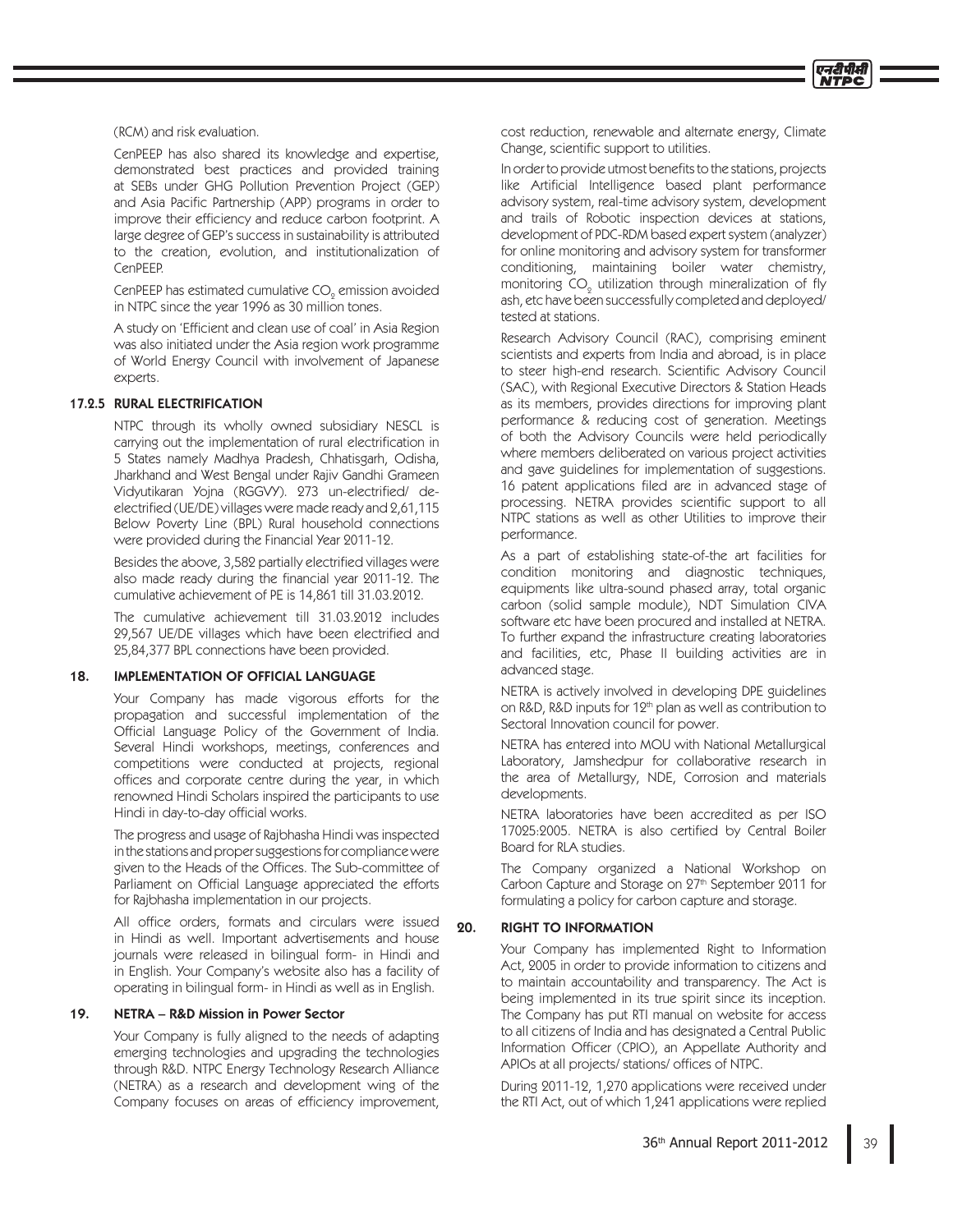(RCM) and risk evaluation.

 CenPEEP has also shared its knowledge and expertise, demonstrated best practices and provided training at SEBs under GHG Pollution Prevention Project (GEP) and Asia Pacific Partnership (APP) programs in order to improve their efficiency and reduce carbon footprint. A large degree of GEP's success in sustainability is attributed to the creation, evolution, and institutionalization of CenPEEP.

CenPEEP has estimated cumulative CO $_{\tiny 2}$  emission avoided in NTPC since the year 1996 as 30 million tones.

> A study on 'Efficient and clean use of coal' in Asia Region was also initiated under the Asia region work programme of World Energy Council with involvement of Japanese experts.

#### 17.2.5 RURAL ELECTRIFICATION

 NTPC through its wholly owned subsidiary NESCL is carrying out the implementation of rural electrification in 5 States namely Madhya Pradesh, Chhatisgarh, Odisha, Jharkhand and West Bengal under Rajiv Gandhi Grameen Vidyutikaran Yojna (RGGVY). 273 un-electrified/ deelectrified (UE/DE) villages were made ready and 2,61,115 Below Poverty Line (BPL) Rural household connections were provided during the Financial Year 2011-12.

Besides the above, 3,582 partially electrified villages were also made ready during the financial year 2011-12. The cumulative achievement of PE is 14,861 till 31.03.2012.

 The cumulative achievement till 31.03.2012 includes 29,567 UE/DE villages which have been electrified and 25,84,377 BPL connections have been provided.

#### 18. IMPLEMENTATION OF OFFICIAL LANGUAGE

 Your Company has made vigorous efforts for the propagation and successful implementation of the Official Language Policy of the Government of India. Several Hindi workshops, meetings, conferences and competitions were conducted at projects, regional offices and corporate centre during the year, in which renowned Hindi Scholars inspired the participants to use Hindi in day-to-day official works.

 The progress and usage of Rajbhasha Hindi was inspected in the stations and proper suggestions for compliance were given to the Heads of the Offices. The Sub-committee of Parliament on Official Language appreciated the efforts for Rajbhasha implementation in our projects.

All office orders, formats and circulars were issued in Hindi as well. Important advertisements and house journals were released in bilingual form- in Hindi and in English. Your Company's website also has a facility of operating in bilingual form- in Hindi as well as in English.

#### 19. NETRA – R&D Mission in Power Sector

 Your Company is fully aligned to the needs of adapting emerging technologies and upgrading the technologies through R&D. NTPC Energy Technology Research Alliance (NETRA) as a research and development wing of the Company focuses on areas of efficiency improvement,

cost reduction, renewable and alternate energy, Climate Change, scientific support to utilities.

In order to provide utmost benefits to the stations, projects like Artificial Intelligence based plant performance advisory system, real-time advisory system, development and trails of Robotic inspection devices at stations, development of PDC-RDM based expert system (analyzer) for online monitoring and advisory system for transformer conditioning, maintaining boiler water chemistry, monitoring  $\mathrm{CO}_2^{}$  utilization through mineralization of fly ash, etc have been successfully completed and deployed/ tested at stations.

 Research Advisory Council (RAC), comprising eminent scientists and experts from India and abroad, is in place to steer high-end research. Scientific Advisory Council (SAC), with Regional Executive Directors & Station Heads as its members, provides directions for improving plant performance & reducing cost of generation. Meetings of both the Advisory Councils were held periodically where members deliberated on various project activities and gave guidelines for implementation of suggestions. 16 patent applications filed are in advanced stage of processing. NETRA provides scientific support to all NTPC stations as well as other Utilities to improve their performance.

 As a part of establishing state-of-the art facilities for condition monitoring and diagnostic techniques, equipments like ultra-sound phased array, total organic carbon (solid sample module), NDT Simulation CIVA software etc have been procured and installed at NETRA. To further expand the infrastructure creating laboratories and facilities, etc, Phase II building activities are in advanced stage.

 NETRA is actively involved in developing DPE guidelines on R&D, R&D inputs for  $12<sup>th</sup>$  plan as well as contribution to Sectoral Innovation council for power.

 NETRA has entered into MOU with National Metallurgical Laboratory, Jamshedpur for collaborative research in the area of Metallurgy, NDE, Corrosion and materials developments.

 NETRA laboratories have been accredited as per ISO 17025:2005. NETRA is also certified by Central Boiler Board for RLA studies.

 The Company organized a National Workshop on Carbon Capture and Storage on 27<sup>th</sup> September 2011 for formulating a policy for carbon capture and storage.

#### 20. RIGHT TO INFORMATION

 Your Company has implemented Right to Information Act, 2005 in order to provide information to citizens and to maintain accountability and transparency. The Act is being implemented in its true spirit since its inception. The Company has put RTI manual on website for access to all citizens of India and has designated a Central Public Information Officer (CPIO), an Appellate Authority and APIOs at all projects/ stations/ offices of NTPC.

 During 2011-12, 1,270 applications were received under the RTI Act, out of which 1,241 applications were replied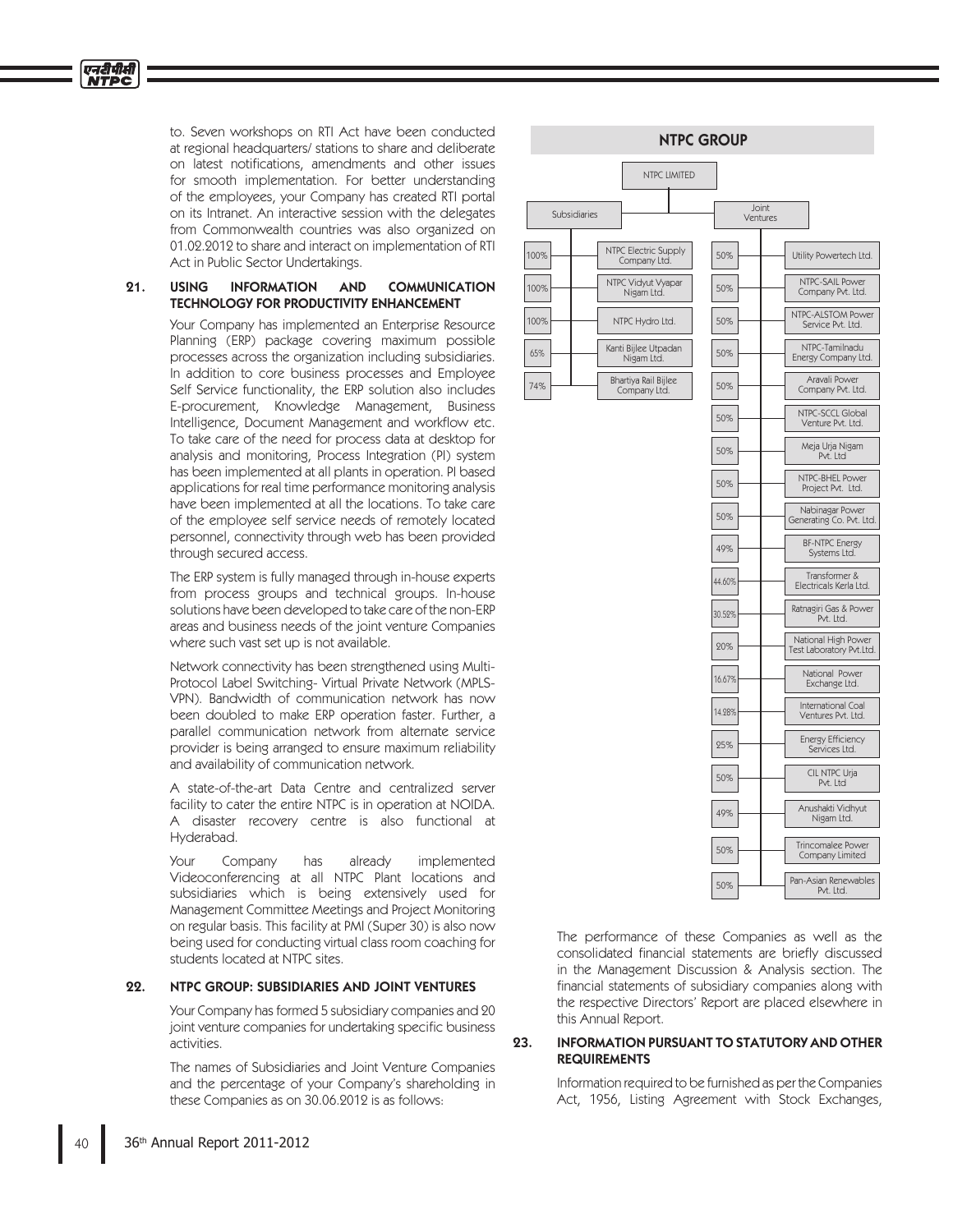to. Seven workshops on RTI Act have been conducted at regional headquarters/ stations to share and deliberate on latest notifications, amendments and other issues for smooth implementation. For better understanding of the employees, your Company has created RTI portal on its Intranet. An interactive session with the delegates from Commonwealth countries was also organized on 01.02.2012 to share and interact on implementation of RTI Act in Public Sector Undertakings.

### 21. USING INFORMATION AND COMMUNICATION TECHNOLOGY FOR PRODUCTIVITY ENHANCEMENT

 Your Company has implemented an Enterprise Resource Planning (ERP) package covering maximum possible processes across the organization including subsidiaries. In addition to core business processes and Employee Self Service functionality, the ERP solution also includes E-procurement, Knowledge Management, Business Intelligence, Document Management and workflow etc. To take care of the need for process data at desktop for analysis and monitoring, Process Integration (PI) system has been implemented at all plants in operation. PI based applications for real time performance monitoring analysis have been implemented at all the locations. To take care of the employee self service needs of remotely located personnel, connectivity through web has been provided through secured access.

 The ERP system is fully managed through in-house experts from process groups and technical groups. In-house solutions have been developed to take care of the non-ERP areas and business needs of the joint venture Companies where such vast set up is not available.

 Network connectivity has been strengthened using Multi-Protocol Label Switching- Virtual Private Network (MPLS-VPN). Bandwidth of communication network has now been doubled to make ERP operation faster. Further, a parallel communication network from alternate service provider is being arranged to ensure maximum reliability and availability of communication network.

 A state-of-the-art Data Centre and centralized server facility to cater the entire NTPC is in operation at NOIDA. A disaster recovery centre is also functional at Hyderabad.

 Your Company has already implemented Videoconferencing at all NTPC Plant locations and subsidiaries which is being extensively used for Management Committee Meetings and Project Monitoring on regular basis. This facility at PMI (Super 30) is also now being used for conducting virtual class room coaching for students located at NTPC sites.

## 22. NTPC GROUP: SUBSIDIARIES AND JOINT VENTURES

 Your Company has formed 5 subsidiary companies and 20 joint venture companies for undertaking specific business activities.

 The names of Subsidiaries and Joint Venture Companies and the percentage of your Company's shareholding in these Companies as on 30.06.2012 is as follows:



 The performance of these Companies as well as the consolidated financial statements are briefly discussed in the Management Discussion & Analysis section. The financial statements of subsidiary companies along with the respective Directors' Report are placed elsewhere in this Annual Report.

## 23. INFORMATION PURSUANT TO STATUTORY AND OTHER REQUIREMENTS

 Information required to be furnished as per the Companies Act, 1956, Listing Agreement with Stock Exchanges,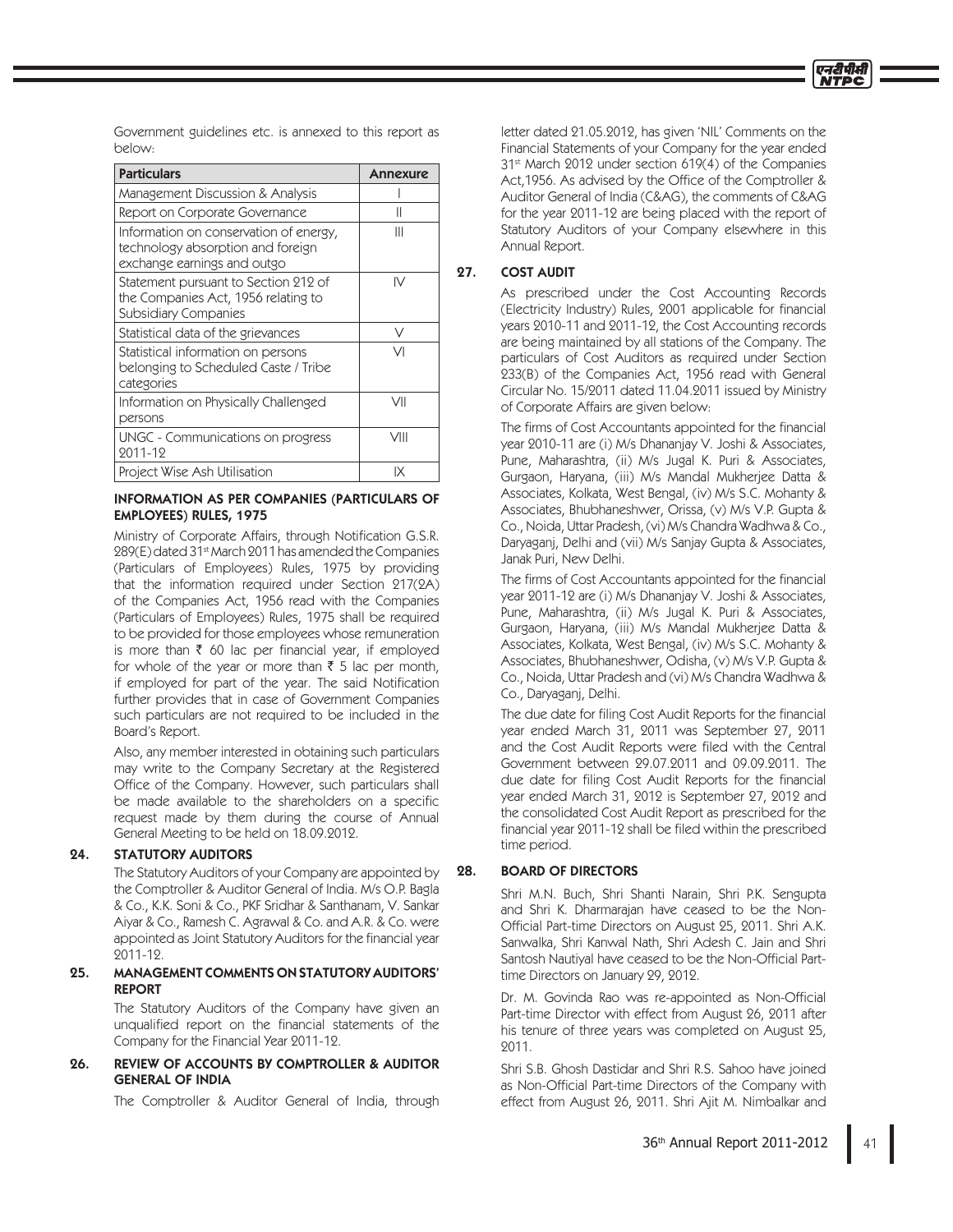Government guidelines etc. is annexed to this report as below:

| <b>Particulars</b>                                                                                         | <b>Annexure</b> |
|------------------------------------------------------------------------------------------------------------|-----------------|
| Management Discussion & Analysis                                                                           |                 |
| Report on Corporate Governance                                                                             | Π               |
| Information on conservation of energy,<br>technology absorption and foreign<br>exchange earnings and outgo | Ш               |
| Statement pursuant to Section 212 of<br>the Companies Act, 1956 relating to<br><b>Subsidiary Companies</b> | IV              |
| Statistical data of the grievances                                                                         | V               |
| Statistical information on persons<br>belonging to Scheduled Caste / Tribe<br>categories                   | VI              |
| Information on Physically Challenged<br>persons                                                            | VII             |
| <b>UNGC - Communications on progress</b><br>2011-12                                                        | VIII            |
| Project Wise Ash Utilisation                                                                               | IX              |

## INFORMATION AS PER COMPANIES (PARTICULARS OF EMPLOYEES) RULES, 1975

Ministry of Corporate Affairs, through Notification G.S.R. 289(E) dated 31st March 2011 has amended the Companies (Particulars of Employees) Rules, 1975 by providing that the information required under Section 217(2A) of the Companies Act, 1956 read with the Companies (Particulars of Employees) Rules, 1975 shall be required to be provided for those employees whose remuneration is more than  $\bar{\tau}$  60 lac per financial year, if employed for whole of the year or more than  $\bar{\tau}$  5 lac per month, if employed for part of the year. The said Notification further provides that in case of Government Companies such particulars are not required to be included in the Board's Report.

 Also, any member interested in obtaining such particulars may write to the Company Secretary at the Registered Office of the Company. However, such particulars shall be made available to the shareholders on a specific request made by them during the course of Annual General Meeting to be held on 18.09.2012.

# 24. STATUTORY AUDITORS

 The Statutory Auditors of your Company are appointed by the Comptroller & Auditor General of India. M/s O.P. Bagla & Co., K.K. Soni & Co., PKF Sridhar & Santhanam, V. Sankar Aiyar & Co., Ramesh C. Agrawal & Co. and A.R. & Co. were appointed as Joint Statutory Auditors for the financial year 2011-12.

### 25. MANAGEMENT COMMENTS ON STATUTORY AUDITORS' REPORT

 The Statutory Auditors of the Company have given an unqualified report on the financial statements of the Company for the Financial Year 2011-12.

## 26. REVIEW OF ACCOUNTS BY COMPTROLLER & AUDITOR GENERAL OF INDIA

The Comptroller & Auditor General of India, through

letter dated 21.05.2012, has given 'NIL' Comments on the Financial Statements of your Company for the year ended 31<sup>st</sup> March 2012 under section 619(4) of the Companies Act, 1956. As advised by the Office of the Comptroller & Auditor General of India (C&AG), the comments of C&AG for the year 2011-12 are being placed with the report of Statutory Auditors of your Company elsewhere in this Annual Report.

# 27. COST AUDIT

 As prescribed under the Cost Accounting Records (Electricity Industry) Rules, 2001 applicable for financial years 2010-11 and 2011-12, the Cost Accounting records are being maintained by all stations of the Company. The particulars of Cost Auditors as required under Section 233(B) of the Companies Act, 1956 read with General Circular No. 15/2011 dated 11.04.2011 issued by Ministry of Corporate Affairs are given below:

The firms of Cost Accountants appointed for the financial year 2010-11 are (i) M/s Dhananjay V. Joshi & Associates, Pune, Maharashtra, (ii) M/s Jugal K. Puri & Associates, Gurgaon, Haryana, (iii) M/s Mandal Mukherjee Datta & Associates, Kolkata, West Bengal, (iv) M/s S.C. Mohanty & Associates, Bhubhaneshwer, Orissa, (v) M/s V.P. Gupta & Co., Noida, Uttar Pradesh, (vi) M/s Chandra Wadhwa & Co., Daryaganj, Delhi and (vii) M/s Sanjay Gupta & Associates, Janak Puri, New Delhi.

The firms of Cost Accountants appointed for the financial year 2011-12 are (i) M/s Dhananjay V. Joshi & Associates, Pune, Maharashtra, (ii) M/s Jugal K. Puri & Associates, Gurgaon, Haryana, (iii) M/s Mandal Mukherjee Datta & Associates, Kolkata, West Bengal, (iv) M/s S.C. Mohanty & Associates, Bhubhaneshwer, Odisha, (v) M/s V.P. Gupta & Co., Noida, Uttar Pradesh and (vi) M/s Chandra Wadhwa & Co., Daryaganj, Delhi.

The due date for filing Cost Audit Reports for the financial year ended March 31, 2011 was September 27, 2011 and the Cost Audit Reports were filed with the Central Government between 29.07.2011 and 09.09.2011. The due date for filing Cost Audit Reports for the financial year ended March 31, 2012 is September 27, 2012 and the consolidated Cost Audit Report as prescribed for the financial year 2011-12 shall be filed within the prescribed time period.

# 28. BOARD OF DIRECTORS

 Shri M.N. Buch, Shri Shanti Narain, Shri P.K. Sengupta and Shri K. Dharmarajan have ceased to be the Non-Official Part-time Directors on August 25, 2011. Shri A.K. Sanwalka, Shri Kanwal Nath, Shri Adesh C. Jain and Shri Santosh Nautiyal have ceased to be the Non-Official Parttime Directors on January 29, 2012.

Dr. M. Govinda Rao was re-appointed as Non-Official Part-time Director with effect from August 26, 2011 after his tenure of three years was completed on August 25, 2011.

 Shri S.B. Ghosh Dastidar and Shri R.S. Sahoo have joined as Non-Official Part-time Directors of the Company with effect from August 26, 2011. Shri Ajit M. Nimbalkar and